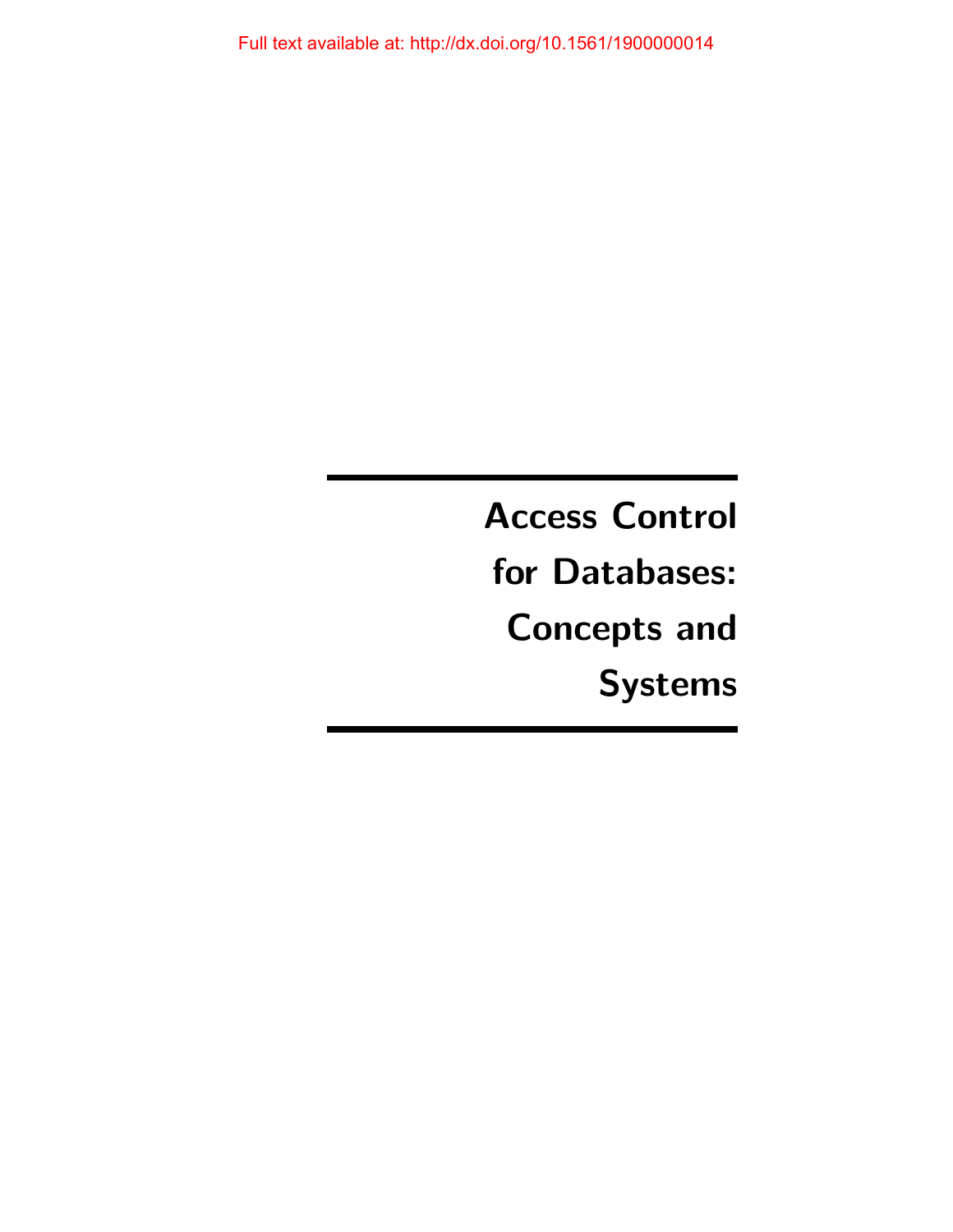Full text available at: http://dx.doi.org/10.1561/1900000014

Access Control for Databases: Concepts and Systems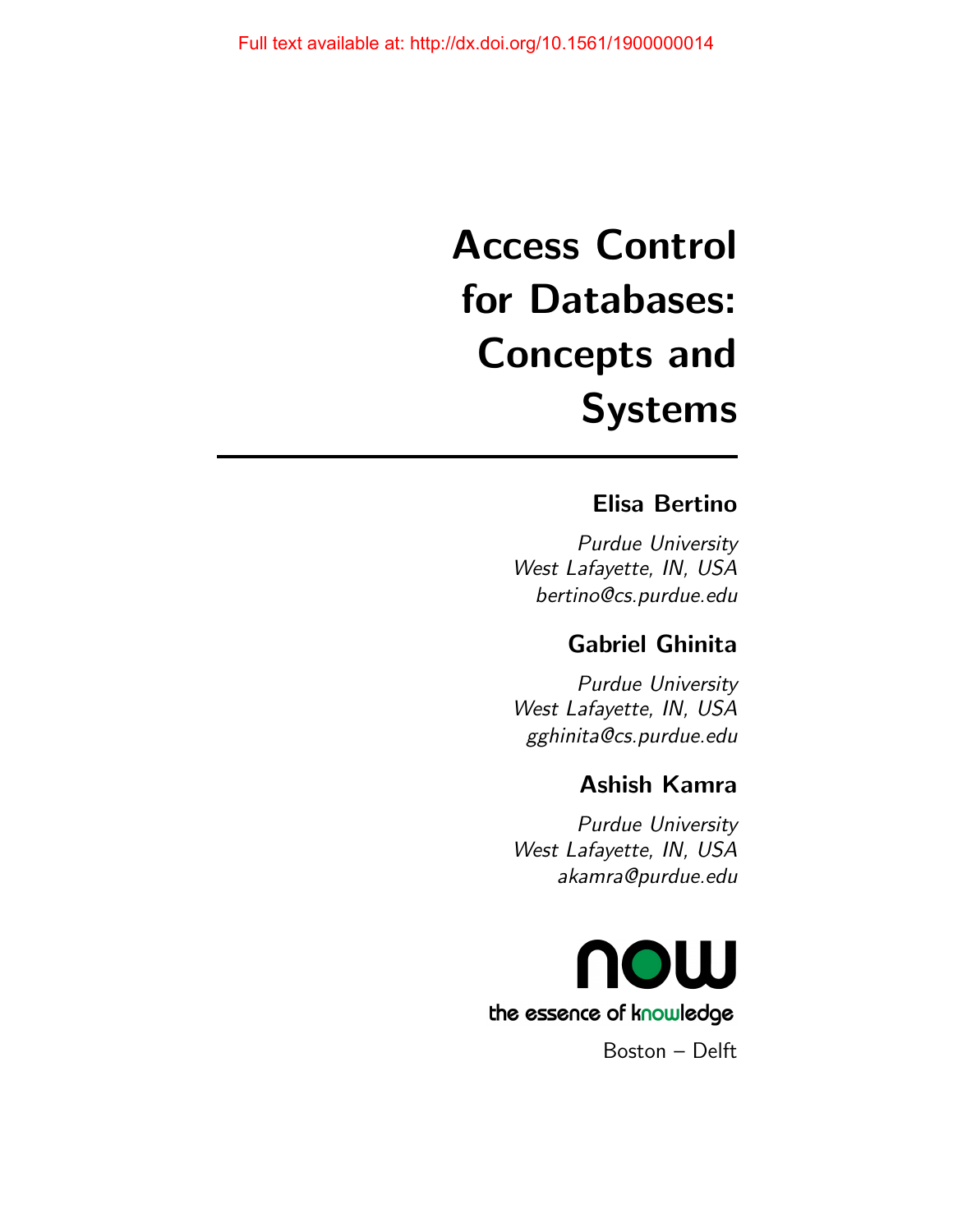# Access Control for Databases: Concepts and Systems

### Elisa Bertino

Purdue University West Lafayette, IN, USA bertino@cs.purdue.edu

# Gabriel Ghinita

Purdue University West Lafayette, IN, USA gghinita@cs.purdue.edu

## Ashish Kamra

Purdue University West Lafayette, IN, USA akamra@purdue.edu



Boston – Delft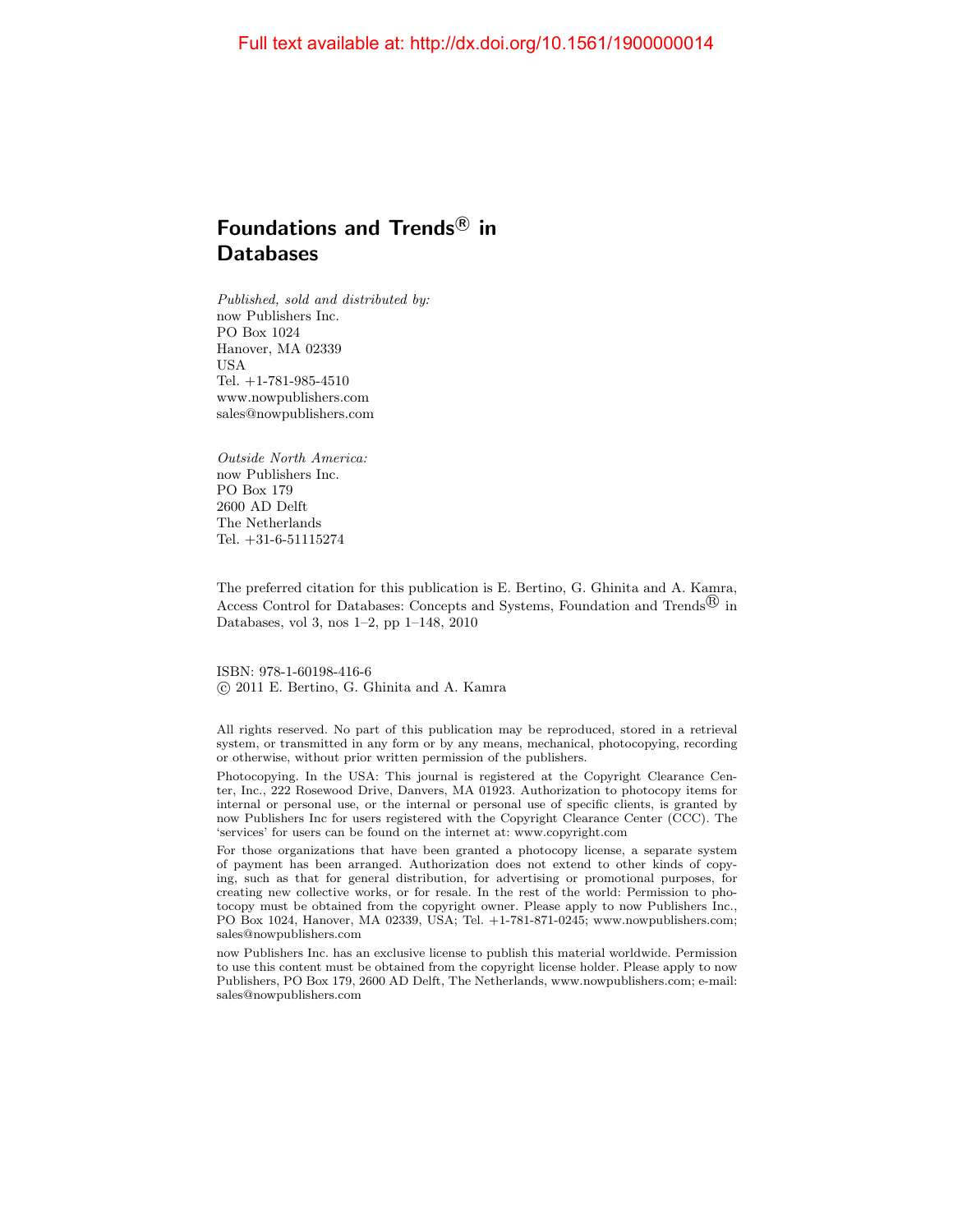### Foundations and Trends ${}^{\text{\textregistered}}$  in **Databases**

Published, sold and distributed by: now Publishers Inc. PO Box 1024 Hanover, MA 02339 USA Tel. +1-781-985-4510 www.nowpublishers.com sales@nowpublishers.com

Outside North America: now Publishers Inc. PO Box 179 2600 AD Delft The Netherlands Tel. +31-6-51115274

The preferred citation for this publication is E. Bertino, G. Ghinita and A. Kamra, Access Control for Databases: Concepts and Systems, Foundation and Trends<sup> $\&$ </sup> in Databases, vol 3, nos 1–2, pp 1–148, 2010

ISBN: 978-1-60198-416-6 c 2011 E. Bertino, G. Ghinita and A. Kamra

All rights reserved. No part of this publication may be reproduced, stored in a retrieval system, or transmitted in any form or by any means, mechanical, photocopying, recording or otherwise, without prior written permission of the publishers.

Photocopying. In the USA: This journal is registered at the Copyright Clearance Center, Inc., 222 Rosewood Drive, Danvers, MA 01923. Authorization to photocopy items for internal or personal use, or the internal or personal use of specific clients, is granted by now Publishers Inc for users registered with the Copyright Clearance Center (CCC). The 'services' for users can be found on the internet at: www.copyright.com

For those organizations that have been granted a photocopy license, a separate system of payment has been arranged. Authorization does not extend to other kinds of copying, such as that for general distribution, for advertising or promotional purposes, for creating new collective works, or for resale. In the rest of the world: Permission to photocopy must be obtained from the copyright owner. Please apply to now Publishers Inc., PO Box 1024, Hanover, MA 02339, USA; Tel. +1-781-871-0245; www.nowpublishers.com; sales@nowpublishers.com

now Publishers Inc. has an exclusive license to publish this material worldwide. Permission to use this content must be obtained from the copyright license holder. Please apply to now Publishers, PO Box 179, 2600 AD Delft, The Netherlands, www.nowpublishers.com; e-mail: sales@nowpublishers.com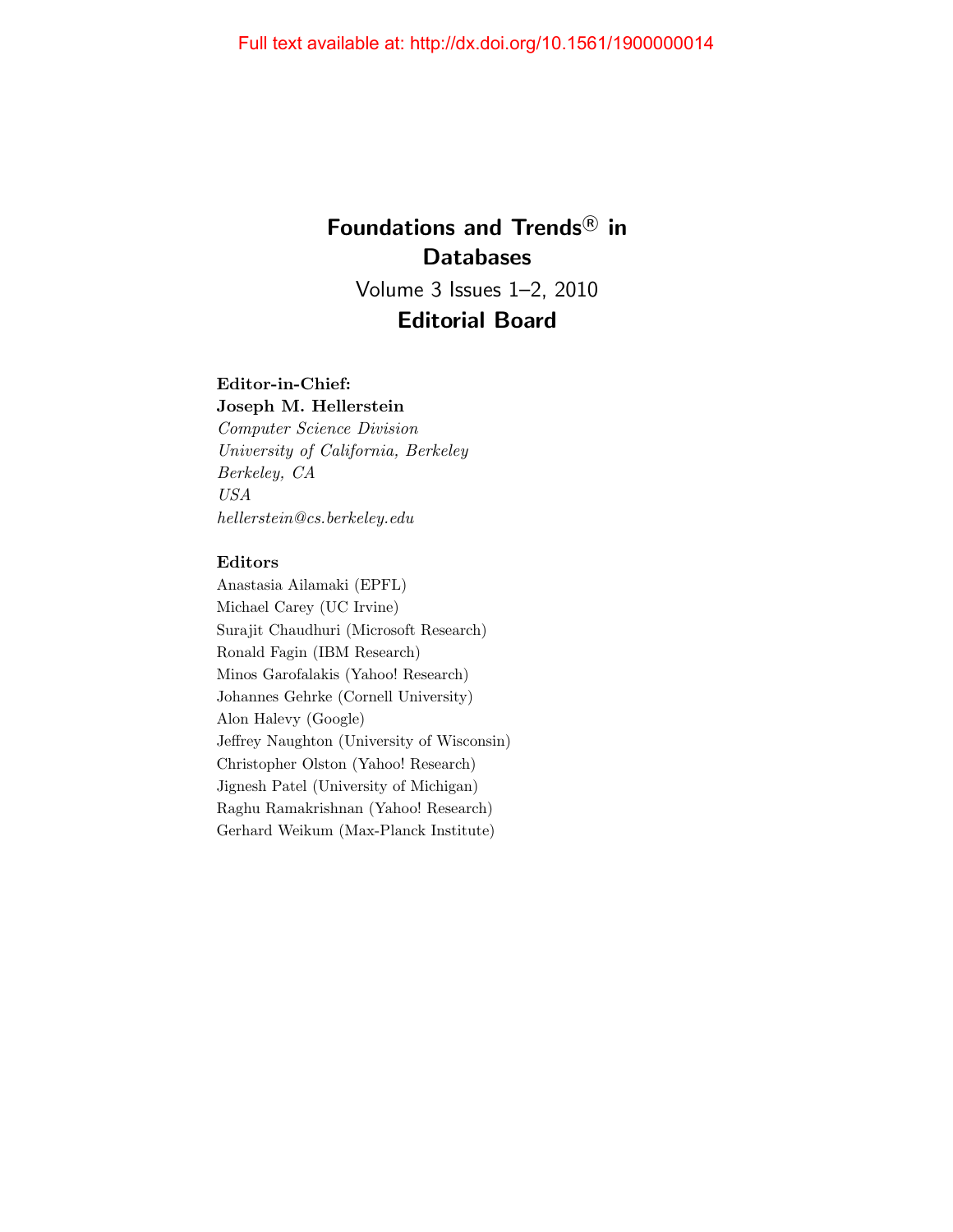# Foundations and Trends<sup>®</sup> in **Databases**

Volume 3 Issues 1–2, 2010 Editorial Board

#### Editor-in-Chief:

Joseph M. Hellerstein Computer Science Division University of California, Berkeley Berkeley, CA USA hellerstein@cs.berkeley.edu

#### Editors

Anastasia Ailamaki (EPFL) Michael Carey (UC Irvine) Surajit Chaudhuri (Microsoft Research) Ronald Fagin (IBM Research) Minos Garofalakis (Yahoo! Research) Johannes Gehrke (Cornell University) Alon Halevy (Google) Jeffrey Naughton (University of Wisconsin) Christopher Olston (Yahoo! Research) Jignesh Patel (University of Michigan) Raghu Ramakrishnan (Yahoo! Research) Gerhard Weikum (Max-Planck Institute)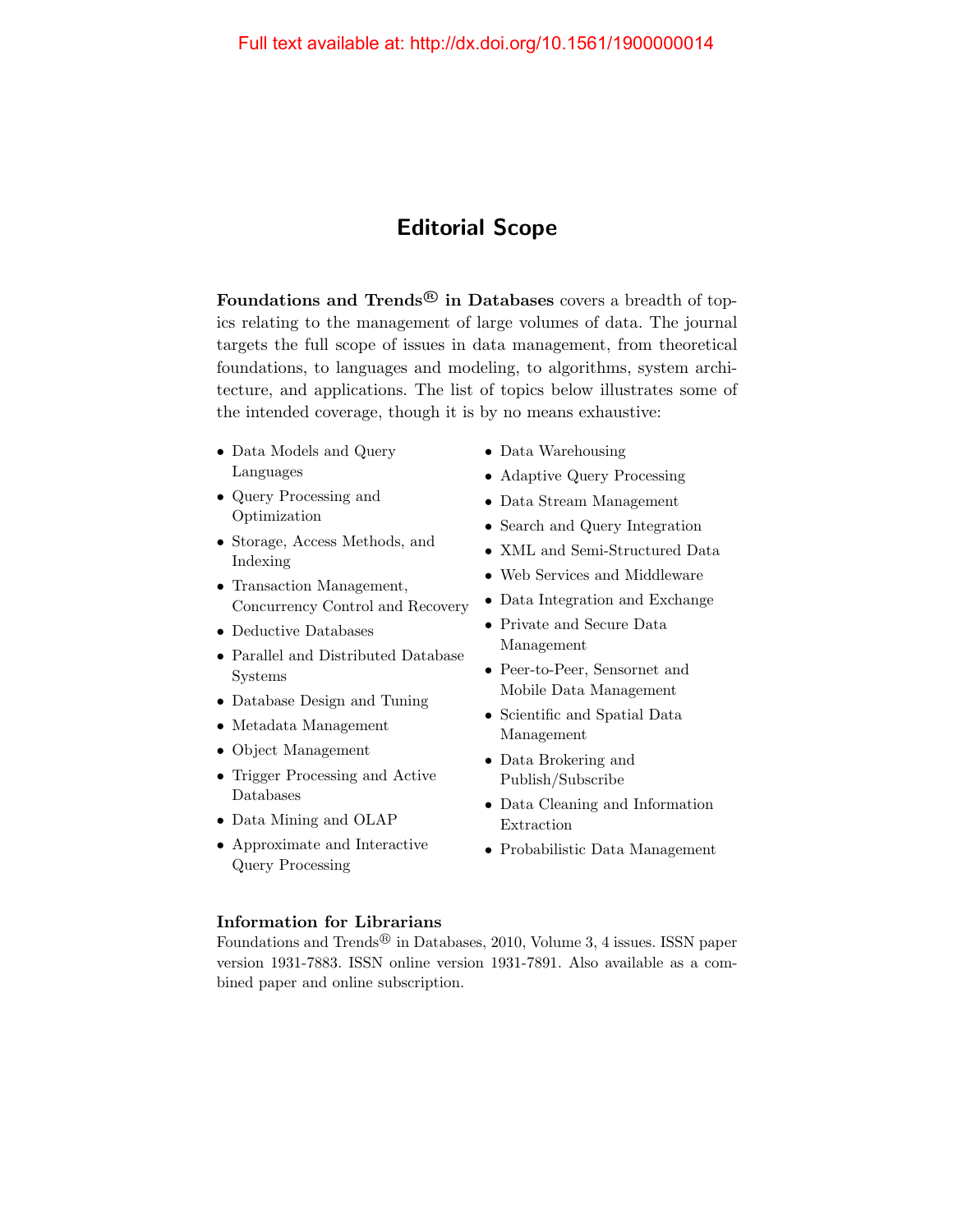### Editorial Scope

Foundations and Trends<sup>®</sup> in Databases covers a breadth of topics relating to the management of large volumes of data. The journal targets the full scope of issues in data management, from theoretical foundations, to languages and modeling, to algorithms, system architecture, and applications. The list of topics below illustrates some of the intended coverage, though it is by no means exhaustive:

- Data Models and Query Languages
- Query Processing and Optimization
- Storage, Access Methods, and Indexing
- Transaction Management, Concurrency Control and Recovery
- Deductive Databases
- Parallel and Distributed Database Systems
- Database Design and Tuning
- Metadata Management
- Object Management
- Trigger Processing and Active Databases
- Data Mining and OLAP
- Approximate and Interactive Query Processing
- Data Warehousing
- Adaptive Query Processing
- Data Stream Management
- Search and Query Integration
- XML and Semi-Structured Data
- Web Services and Middleware
- Data Integration and Exchange
- Private and Secure Data Management
- Peer-to-Peer, Sensornet and Mobile Data Management
- Scientific and Spatial Data Management
- Data Brokering and Publish/Subscribe
- Data Cleaning and Information Extraction
- Probabilistic Data Management

#### Information for Librarians

Foundations and Trends<sup>®</sup> in Databases, 2010, Volume 3, 4 issues. ISSN paper version 1931-7883. ISSN online version 1931-7891. Also available as a combined paper and online subscription.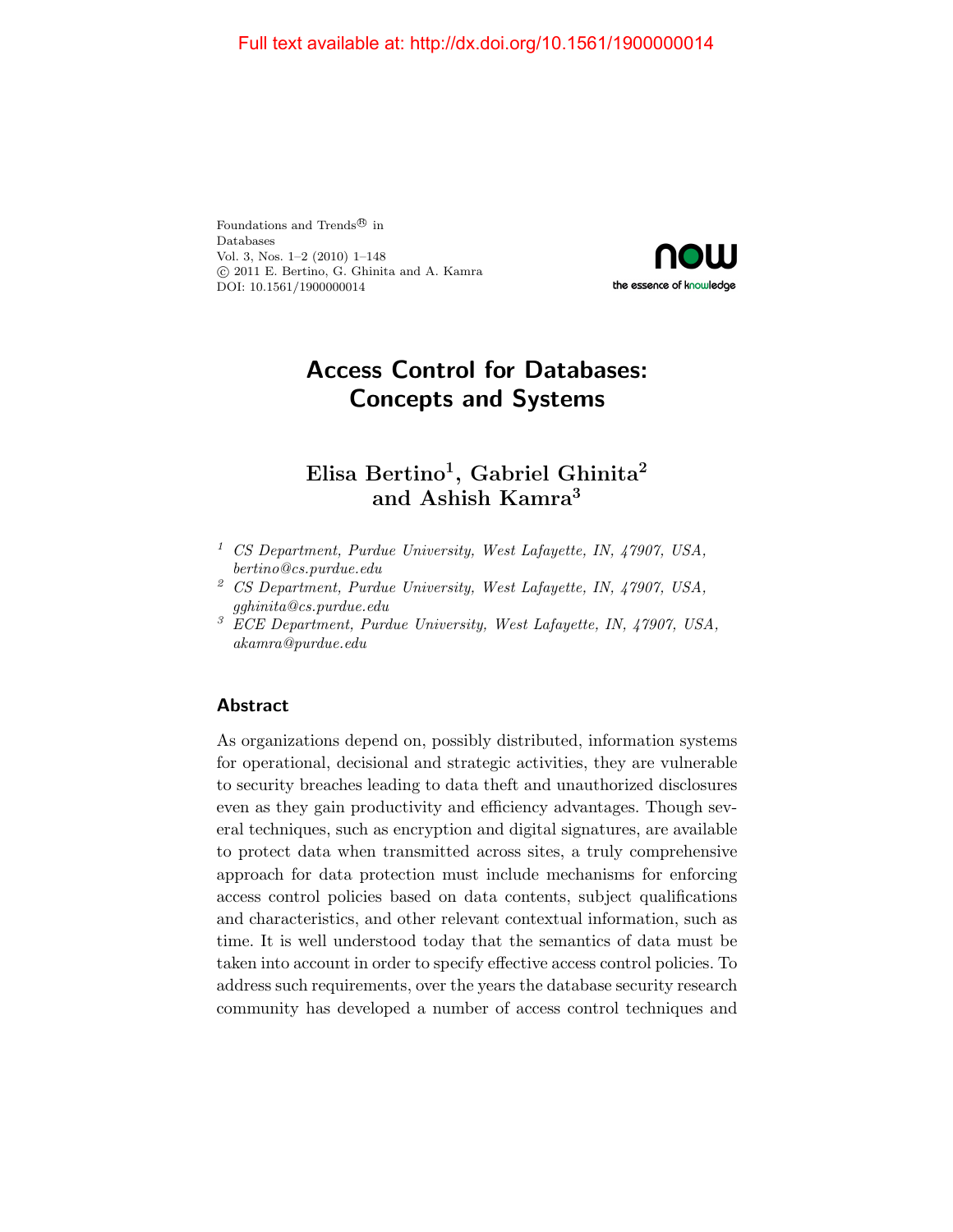Foundations and Trends<sup>®</sup> in Databases Vol. 3, Nos. 1–2 (2010) 1–148 c 2011 E. Bertino, G. Ghinita and A. Kamra DOI: 10.1561/1900000014



## Access Control for Databases: Concepts and Systems

### Elisa Bertino<sup>1</sup>, Gabriel Ghinita<sup>2</sup> and Ashish Kamra<sup>3</sup>

- <sup>1</sup> CS Department, Purdue University, West Lafayette, IN, 47907, USA, bertino@cs.purdue.edu
- <sup>2</sup> CS Department, Purdue University, West Lafayette, IN, 47907, USA, gghinita@cs.purdue.edu
- <sup>3</sup> ECE Department, Purdue University, West Lafayette, IN, 47907, USA, akamra@purdue.edu

#### Abstract

As organizations depend on, possibly distributed, information systems for operational, decisional and strategic activities, they are vulnerable to security breaches leading to data theft and unauthorized disclosures even as they gain productivity and efficiency advantages. Though several techniques, such as encryption and digital signatures, are available to protect data when transmitted across sites, a truly comprehensive approach for data protection must include mechanisms for enforcing access control policies based on data contents, subject qualifications and characteristics, and other relevant contextual information, such as time. It is well understood today that the semantics of data must be taken into account in order to specify effective access control policies. To address such requirements, over the years the database security research community has developed a number of access control techniques and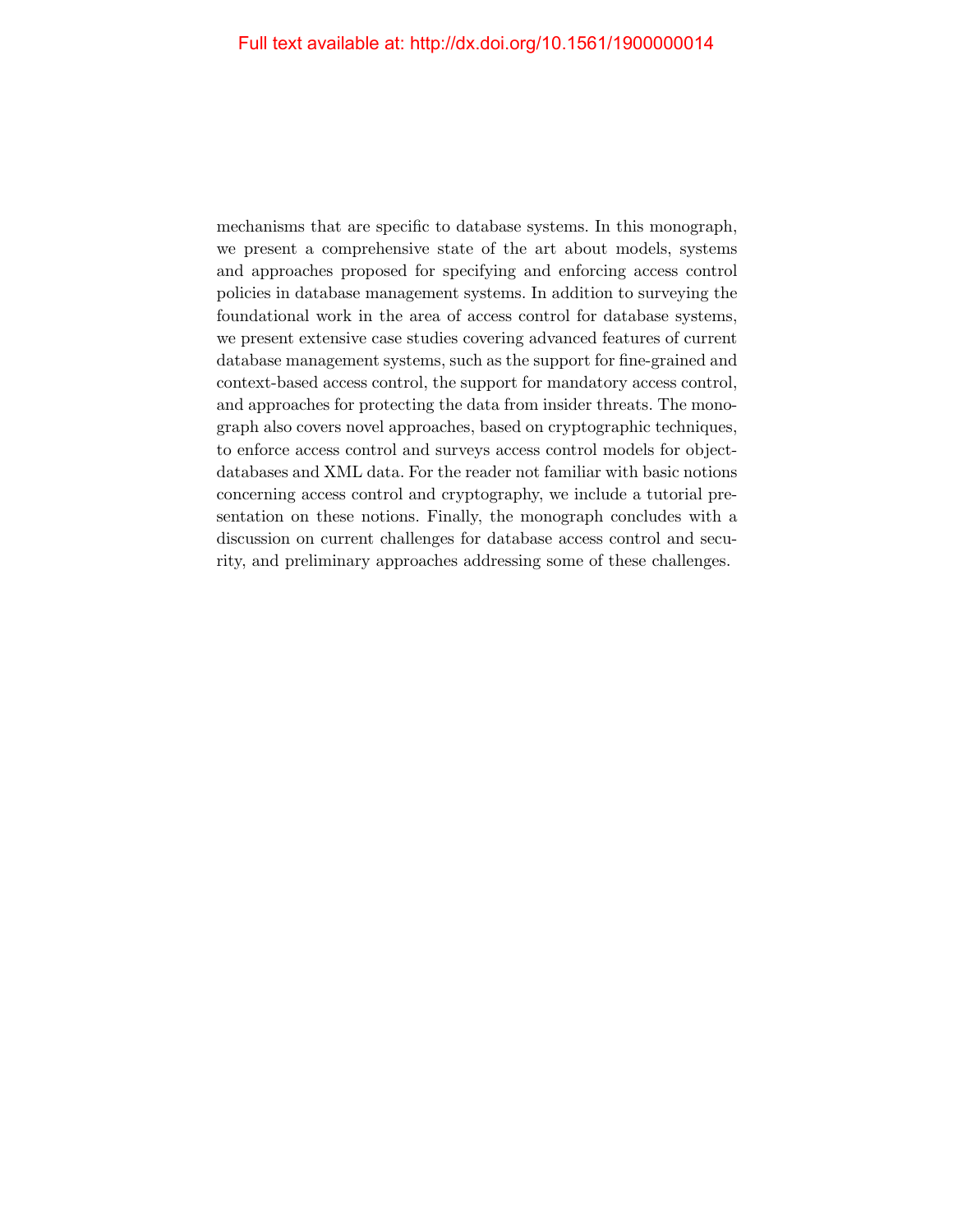mechanisms that are specific to database systems. In this monograph, we present a comprehensive state of the art about models, systems and approaches proposed for specifying and enforcing access control policies in database management systems. In addition to surveying the foundational work in the area of access control for database systems, we present extensive case studies covering advanced features of current database management systems, such as the support for fine-grained and context-based access control, the support for mandatory access control, and approaches for protecting the data from insider threats. The monograph also covers novel approaches, based on cryptographic techniques, to enforce access control and surveys access control models for objectdatabases and XML data. For the reader not familiar with basic notions concerning access control and cryptography, we include a tutorial presentation on these notions. Finally, the monograph concludes with a discussion on current challenges for database access control and security, and preliminary approaches addressing some of these challenges.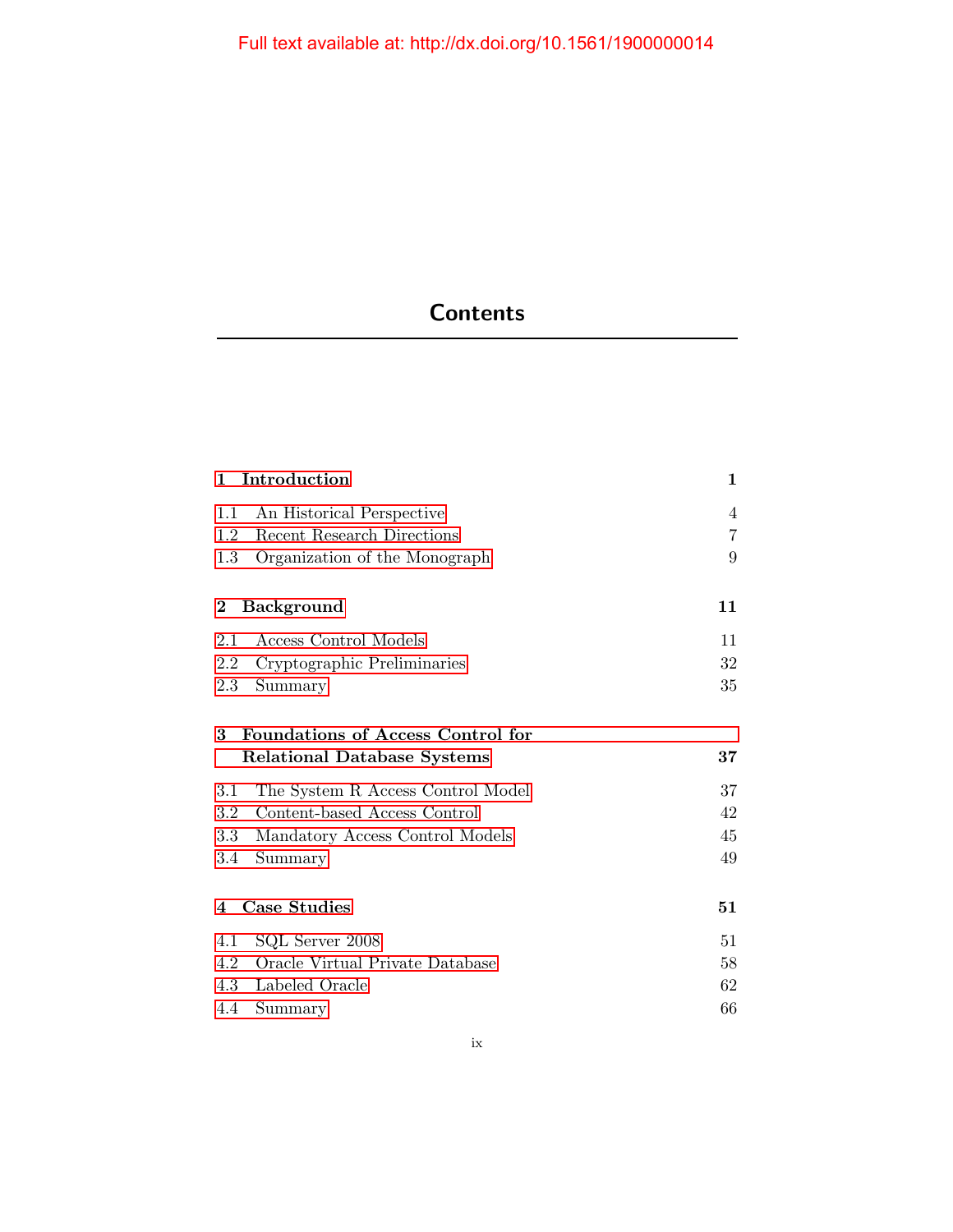# **Contents**

| 1                        | Introduction                       | $\mathbf{1}$   |
|--------------------------|------------------------------------|----------------|
| 1.1                      | An Historical Perspective          | 4              |
| 1.2                      | Recent Research Directions         | $\overline{7}$ |
| 1.3                      | Organization of the Monograph      | 9              |
| $\bf{2}$                 | <b>Background</b>                  | 11             |
| 2.1                      | Access Control Models              | 11             |
| 2.2                      | Cryptographic Preliminaries        | 32             |
| 2.3                      | Summary                            | 35             |
| 3                        | Foundations of Access Control for  |                |
|                          | <b>Relational Database Systems</b> | 37             |
| $3.1\,$                  | The System R Access Control Model  | 37             |
| 3.2                      | Content-based Access Control       | 42             |
| $3.3\,$                  | Mandatory Access Control Models    | 45             |
| 3.4                      | Summary                            | 49             |
| <b>Case Studies</b><br>4 |                                    | 51             |
| 4.1                      | SQL Server 2008                    | 51             |
| 4.2                      | Oracle Virtual Private Database    | 58             |
| 4.3                      | Labeled Oracle                     | 62             |
| 4.4                      | Summary                            | 66             |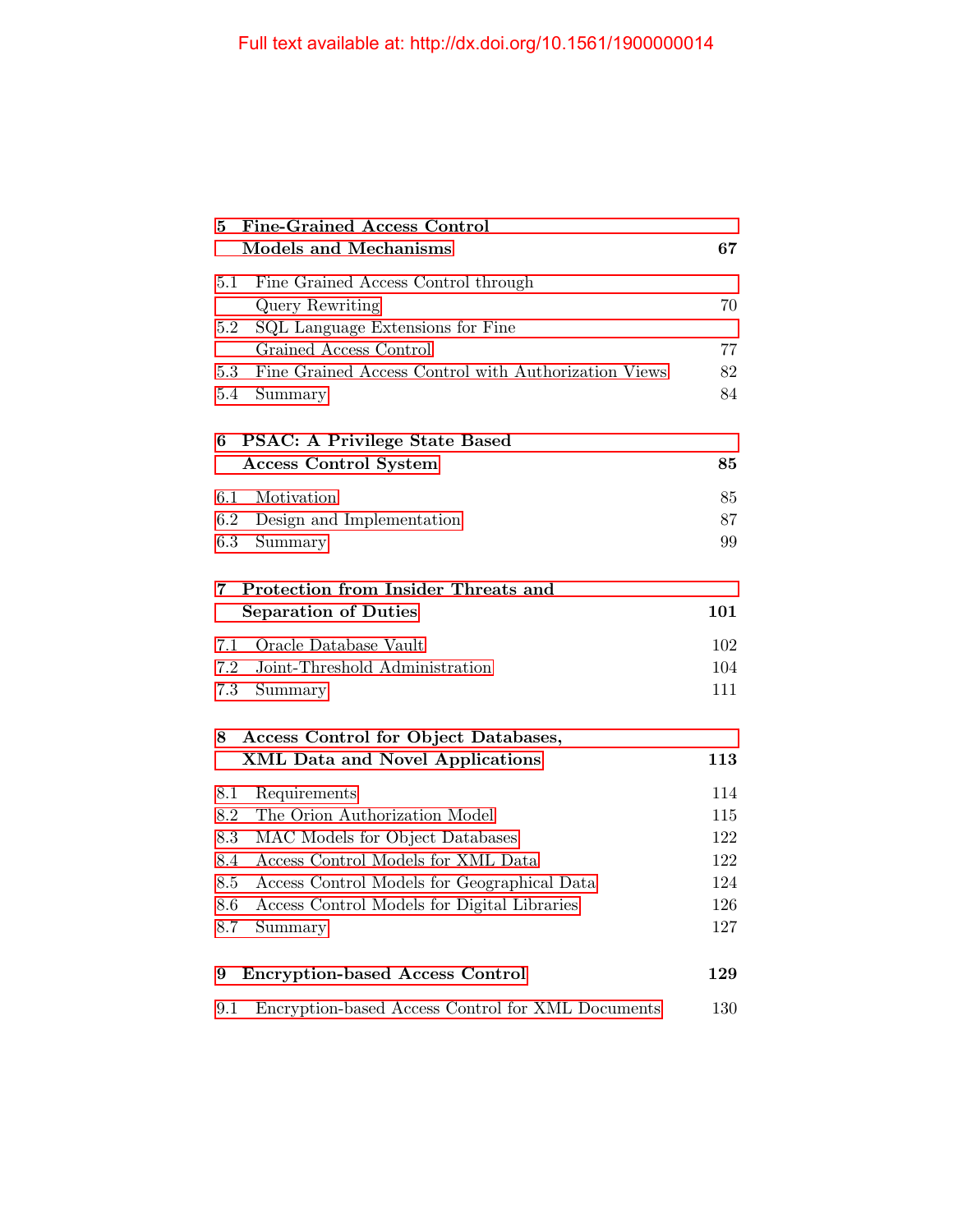| 5                           | <b>Fine-Grained Access Control</b><br><b>Models and Mechanisms</b> | 67       |
|-----------------------------|--------------------------------------------------------------------|----------|
| 5.1                         | Fine Grained Access Control through<br>Query Rewriting             | 70       |
| $5.2\,$                     | SQL Language Extensions for Fine                                   |          |
|                             | Grained Access Control                                             | 77       |
| 5.3<br>5.4                  | Fine Grained Access Control with Authorization Views<br>Summary    | 82<br>84 |
|                             |                                                                    |          |
| 6                           | <b>PSAC: A Privilege State Based</b>                               |          |
|                             | <b>Access Control System</b>                                       | 85       |
| 6.1                         | Motivation                                                         | 85       |
| 6.2                         | Design and Implementation                                          | 87       |
| 6.3                         | Summary                                                            | 99       |
| 7                           | Protection from Insider Threats and                                |          |
| <b>Separation of Duties</b> |                                                                    | 101      |
| 7.1                         | Oracle Database Vault                                              | 102      |
| 7.2                         | Joint-Threshold Administration                                     | 104      |
| 7.3                         | Summary                                                            | 111      |
| 8                           | Access Control for Object Databases,                               |          |
|                             | <b>XML Data and Novel Applications</b>                             | 113      |
| 8.1                         | Requirements                                                       | 114      |
| 8.2                         | The Orion Authorization Model                                      | 115      |
| 8.3                         | MAC Models for Object Databases                                    | 122      |
| 8.4                         | Access Control Models for XML Data                                 | 122      |
| 8.5                         | Access Control Models for Geographical Data                        | 124      |
| 8.6                         | Access Control Models for Digital Libraries                        | 126      |
| 8.7                         | Summary                                                            | 127      |
| 9                           | <b>Encryption-based Access Control</b>                             | 129      |
| 9.1                         | Encryption-based Access Control for XML Documents                  | 130      |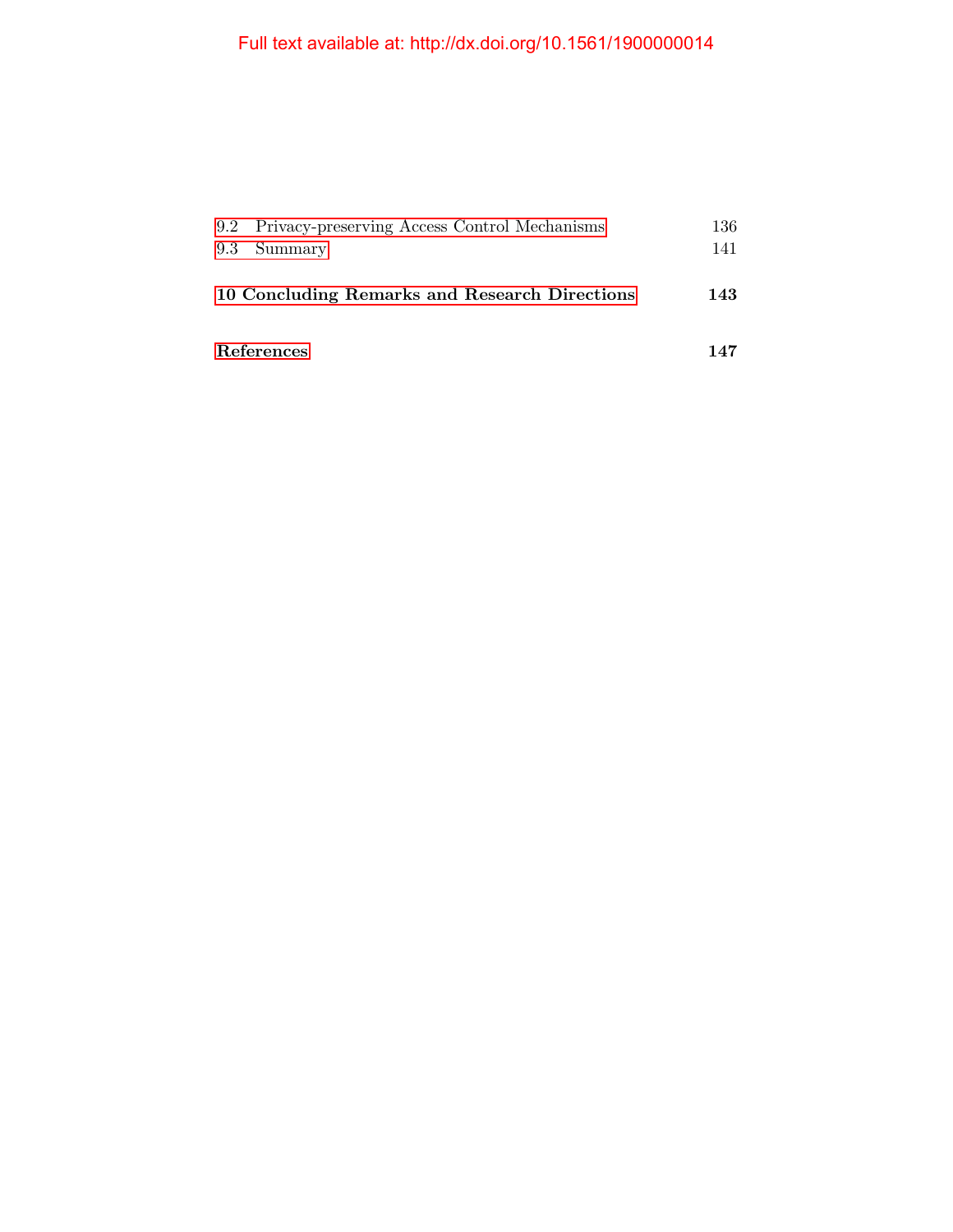# Full text available at: http://dx.doi.org/10.1561/1900000014

| 9.2 Privacy-preserving Access Control Mechanisms | 136 |
|--------------------------------------------------|-----|
| 9.3 Summary                                      | 141 |
|                                                  |     |
| 10 Concluding Remarks and Research Directions    | 143 |
|                                                  |     |
| References                                       | 147 |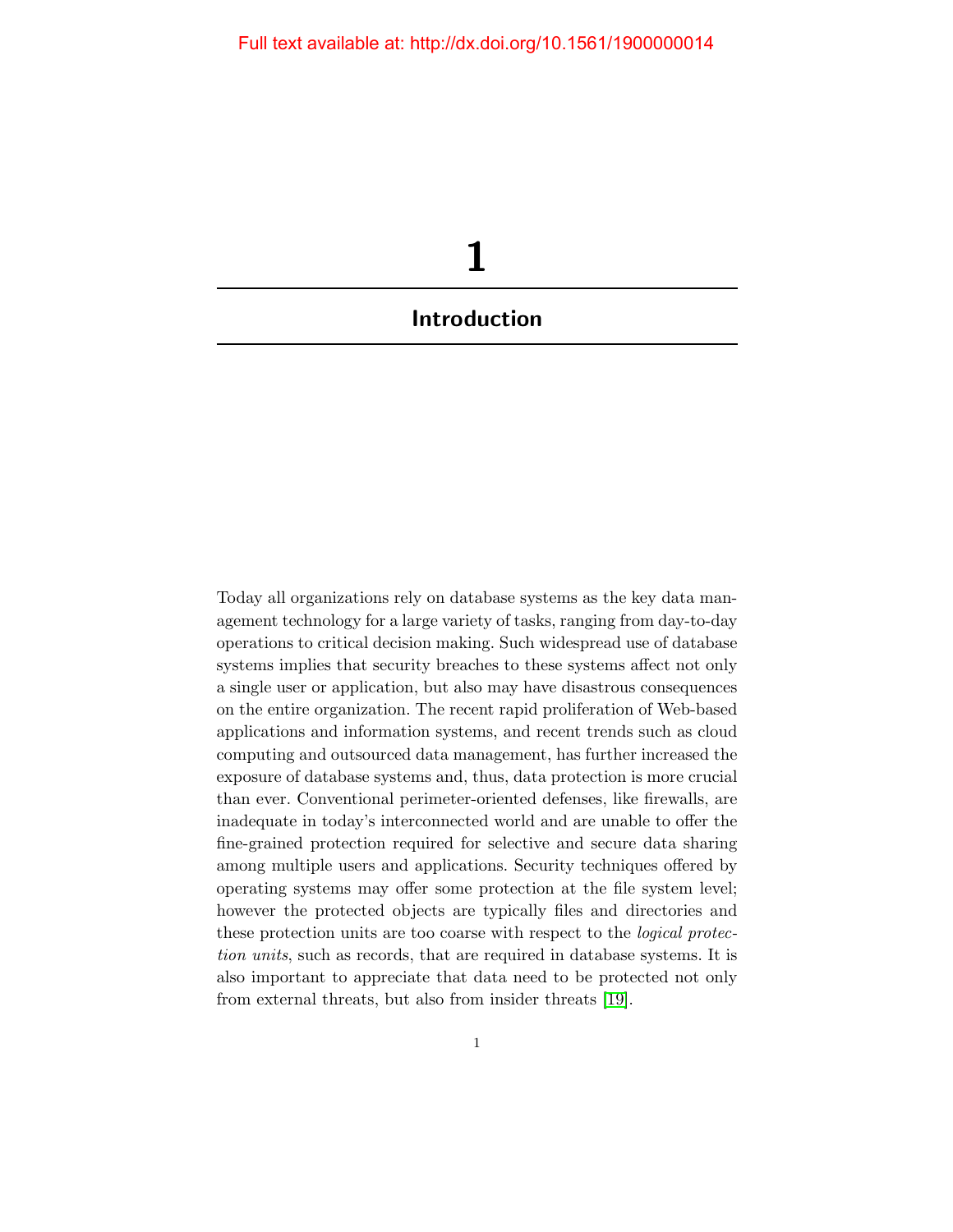<span id="page-10-0"></span>

Today all organizations rely on database systems as the key data management technology for a large variety of tasks, ranging from day-to-day operations to critical decision making. Such widespread use of database systems implies that security breaches to these systems affect not only a single user or application, but also may have disastrous consequences on the entire organization. The recent rapid proliferation of Web-based applications and information systems, and recent trends such as cloud computing and outsourced data management, has further increased the exposure of database systems and, thus, data protection is more crucial than ever. Conventional perimeter-oriented defenses, like firewalls, are inadequate in today's interconnected world and are unable to offer the fine-grained protection required for selective and secure data sharing among multiple users and applications. Security techniques offered by operating systems may offer some protection at the file system level; however the protected objects are typically files and directories and these protection units are too coarse with respect to the logical protection units, such as records, that are required in database systems. It is also important to appreciate that data need to be protected not only from external threats, but also from insider threats [\[19\]](#page-21-0).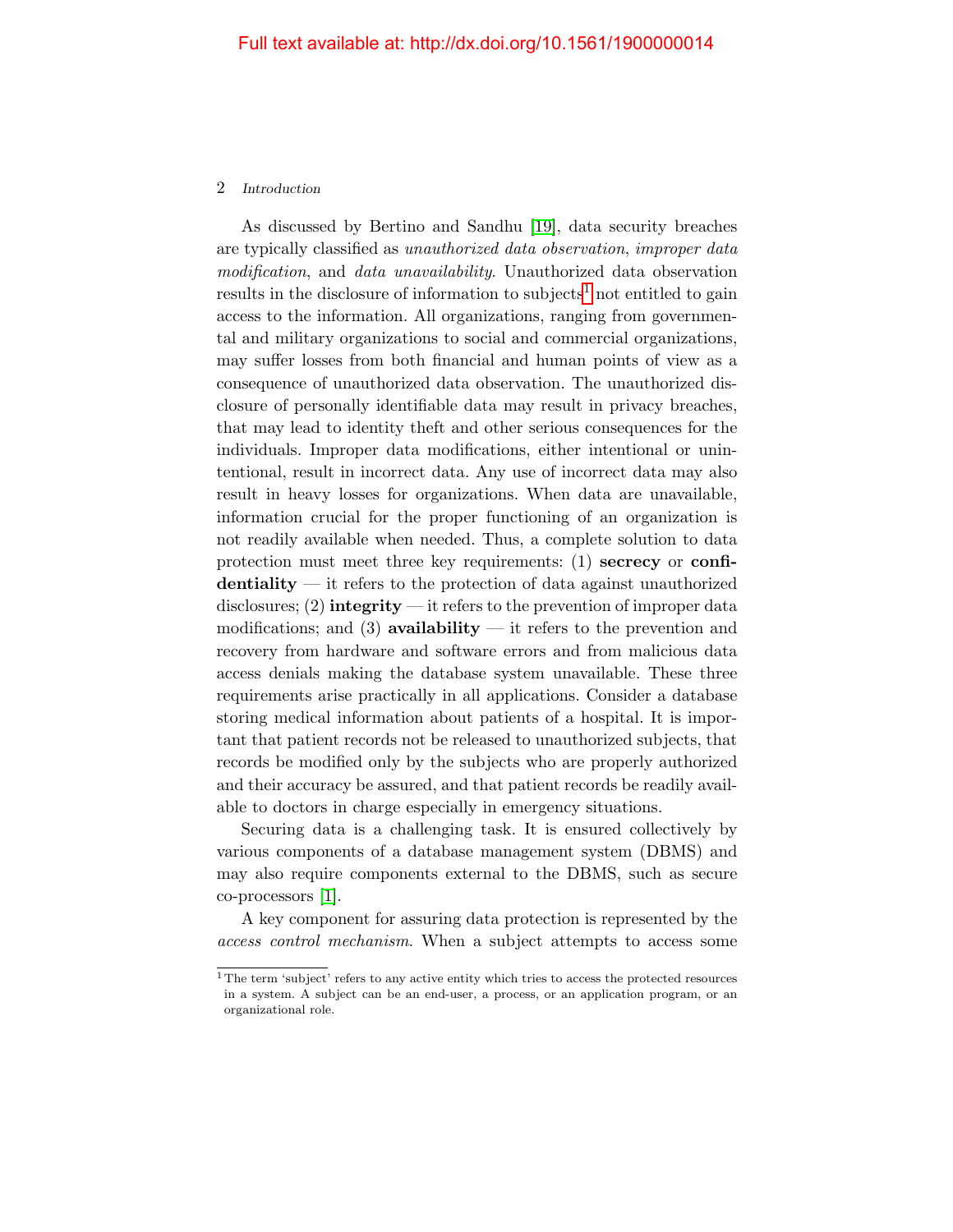#### 2 Introduction

As discussed by Bertino and Sandhu [\[19\]](#page-21-0), data security breaches are typically classified as unauthorized data observation, improper data modification, and data unavailability. Unauthorized data observation results in the disclosure of information to subjects<sup>[1](#page-11-0)</sup> not entitled to gain access to the information. All organizations, ranging from governmental and military organizations to social and commercial organizations, may suffer losses from both financial and human points of view as a consequence of unauthorized data observation. The unauthorized disclosure of personally identifiable data may result in privacy breaches, that may lead to identity theft and other serious consequences for the individuals. Improper data modifications, either intentional or unintentional, result in incorrect data. Any use of incorrect data may also result in heavy losses for organizations. When data are unavailable, information crucial for the proper functioning of an organization is not readily available when needed. Thus, a complete solution to data protection must meet three key requirements: (1) secrecy or confidentiality — it refers to the protection of data against unauthorized disclosures; (2) **integrity** — it refers to the prevention of improper data modifications; and (3) **availability** — it refers to the prevention and recovery from hardware and software errors and from malicious data access denials making the database system unavailable. These three requirements arise practically in all applications. Consider a database storing medical information about patients of a hospital. It is important that patient records not be released to unauthorized subjects, that records be modified only by the subjects who are properly authorized and their accuracy be assured, and that patient records be readily available to doctors in charge especially in emergency situations.

Securing data is a challenging task. It is ensured collectively by various components of a database management system (DBMS) and may also require components external to the DBMS, such as secure co-processors [\[1\]](#page-20-0).

A key component for assuring data protection is represented by the access control mechanism. When a subject attempts to access some

<span id="page-11-0"></span><sup>&</sup>lt;sup>1</sup> The term 'subject' refers to any active entity which tries to access the protected resources in a system. A subject can be an end-user, a process, or an application program, or an organizational role.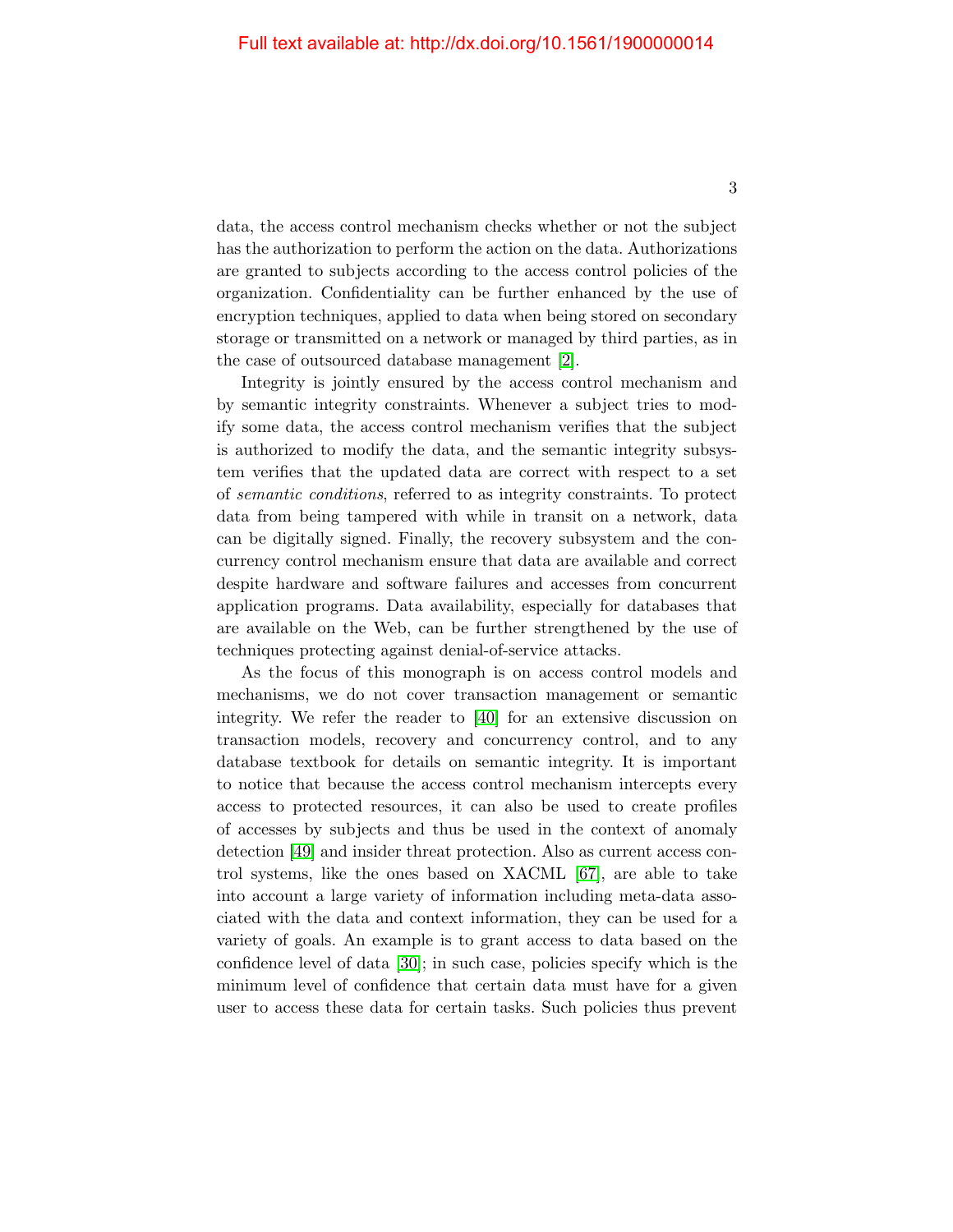data, the access control mechanism checks whether or not the subject has the authorization to perform the action on the data. Authorizations are granted to subjects according to the access control policies of the organization. Confidentiality can be further enhanced by the use of encryption techniques, applied to data when being stored on secondary storage or transmitted on a network or managed by third parties, as in the case of outsourced database management [\[2\]](#page-20-1).

Integrity is jointly ensured by the access control mechanism and by semantic integrity constraints. Whenever a subject tries to modify some data, the access control mechanism verifies that the subject is authorized to modify the data, and the semantic integrity subsystem verifies that the updated data are correct with respect to a set of semantic conditions, referred to as integrity constraints. To protect data from being tampered with while in transit on a network, data can be digitally signed. Finally, the recovery subsystem and the concurrency control mechanism ensure that data are available and correct despite hardware and software failures and accesses from concurrent application programs. Data availability, especially for databases that are available on the Web, can be further strengthened by the use of techniques protecting against denial-of-service attacks.

As the focus of this monograph is on access control models and mechanisms, we do not cover transaction management or semantic integrity. We refer the reader to [\[40\]](#page-22-0) for an extensive discussion on transaction models, recovery and concurrency control, and to any database textbook for details on semantic integrity. It is important to notice that because the access control mechanism intercepts every access to protected resources, it can also be used to create profiles of accesses by subjects and thus be used in the context of anomaly detection [\[49\]](#page-23-0) and insider threat protection. Also as current access control systems, like the ones based on XACML [\[67\]](#page-24-0), are able to take into account a large variety of information including meta-data associated with the data and context information, they can be used for a variety of goals. An example is to grant access to data based on the confidence level of data [\[30\]](#page-22-1); in such case, policies specify which is the minimum level of confidence that certain data must have for a given user to access these data for certain tasks. Such policies thus prevent

3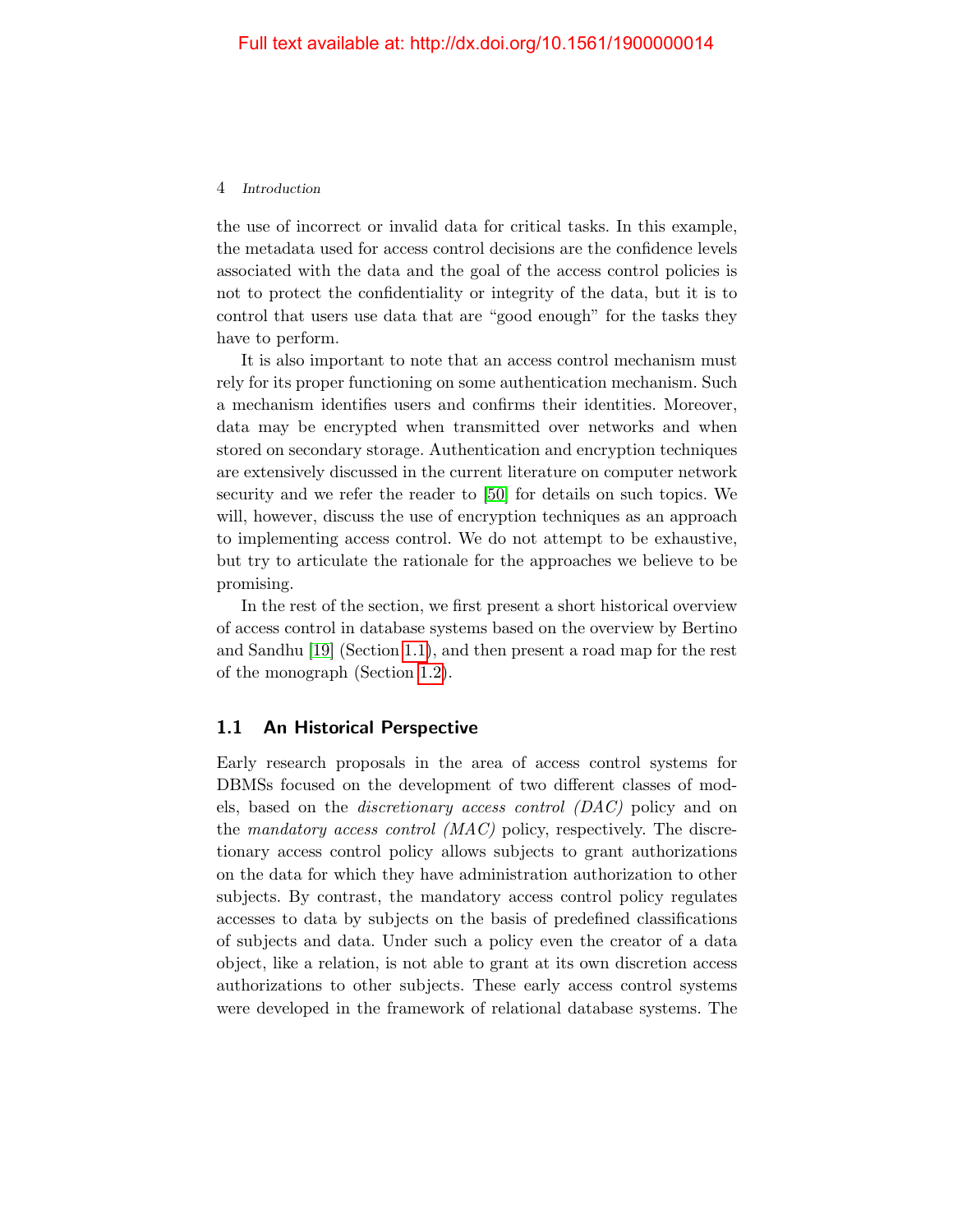#### 4 Introduction

the use of incorrect or invalid data for critical tasks. In this example, the metadata used for access control decisions are the confidence levels associated with the data and the goal of the access control policies is not to protect the confidentiality or integrity of the data, but it is to control that users use data that are "good enough" for the tasks they have to perform.

It is also important to note that an access control mechanism must rely for its proper functioning on some authentication mechanism. Such a mechanism identifies users and confirms their identities. Moreover, data may be encrypted when transmitted over networks and when stored on secondary storage. Authentication and encryption techniques are extensively discussed in the current literature on computer network security and we refer the reader to [\[50\]](#page-23-1) for details on such topics. We will, however, discuss the use of encryption techniques as an approach to implementing access control. We do not attempt to be exhaustive, but try to articulate the rationale for the approaches we believe to be promising.

In the rest of the section, we first present a short historical overview of access control in database systems based on the overview by Bertino and Sandhu [\[19\]](#page-21-0) (Section [1.1\)](#page-13-0), and then present a road map for the rest of the monograph (Section [1.2\)](#page-16-0).

#### <span id="page-13-0"></span>1.1 An Historical Perspective

Early research proposals in the area of access control systems for DBMSs focused on the development of two different classes of models, based on the discretionary access control (DAC) policy and on the mandatory access control (MAC) policy, respectively. The discretionary access control policy allows subjects to grant authorizations on the data for which they have administration authorization to other subjects. By contrast, the mandatory access control policy regulates accesses to data by subjects on the basis of predefined classifications of subjects and data. Under such a policy even the creator of a data object, like a relation, is not able to grant at its own discretion access authorizations to other subjects. These early access control systems were developed in the framework of relational database systems. The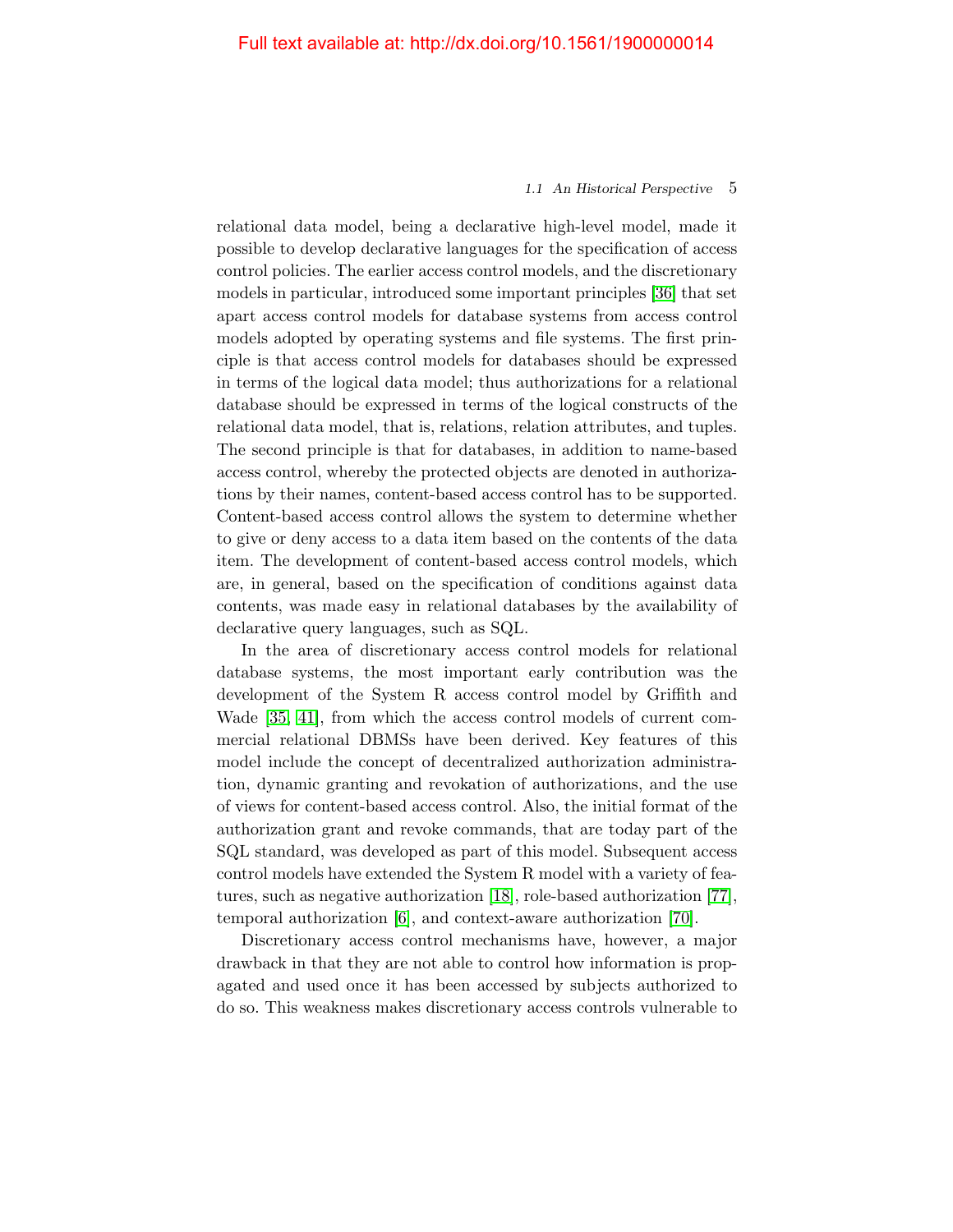#### 1.1 An Historical Perspective 5

relational data model, being a declarative high-level model, made it possible to develop declarative languages for the specification of access control policies. The earlier access control models, and the discretionary models in particular, introduced some important principles [\[36\]](#page-22-2) that set apart access control models for database systems from access control models adopted by operating systems and file systems. The first principle is that access control models for databases should be expressed in terms of the logical data model; thus authorizations for a relational database should be expressed in terms of the logical constructs of the relational data model, that is, relations, relation attributes, and tuples. The second principle is that for databases, in addition to name-based access control, whereby the protected objects are denoted in authorizations by their names, content-based access control has to be supported. Content-based access control allows the system to determine whether to give or deny access to a data item based on the contents of the data item. The development of content-based access control models, which are, in general, based on the specification of conditions against data contents, was made easy in relational databases by the availability of declarative query languages, such as SQL.

In the area of discretionary access control models for relational database systems, the most important early contribution was the development of the System R access control model by Griffith and Wade [\[35,](#page-22-3) [41\]](#page-22-4), from which the access control models of current commercial relational DBMSs have been derived. Key features of this model include the concept of decentralized authorization administration, dynamic granting and revokation of authorizations, and the use of views for content-based access control. Also, the initial format of the authorization grant and revoke commands, that are today part of the SQL standard, was developed as part of this model. Subsequent access control models have extended the System R model with a variety of features, such as negative authorization [\[18\]](#page-21-1), role-based authorization [\[77\]](#page-24-1), temporal authorization [\[6\]](#page-20-2), and context-aware authorization [\[70\]](#page-24-2).

Discretionary access control mechanisms have, however, a major drawback in that they are not able to control how information is propagated and used once it has been accessed by subjects authorized to do so. This weakness makes discretionary access controls vulnerable to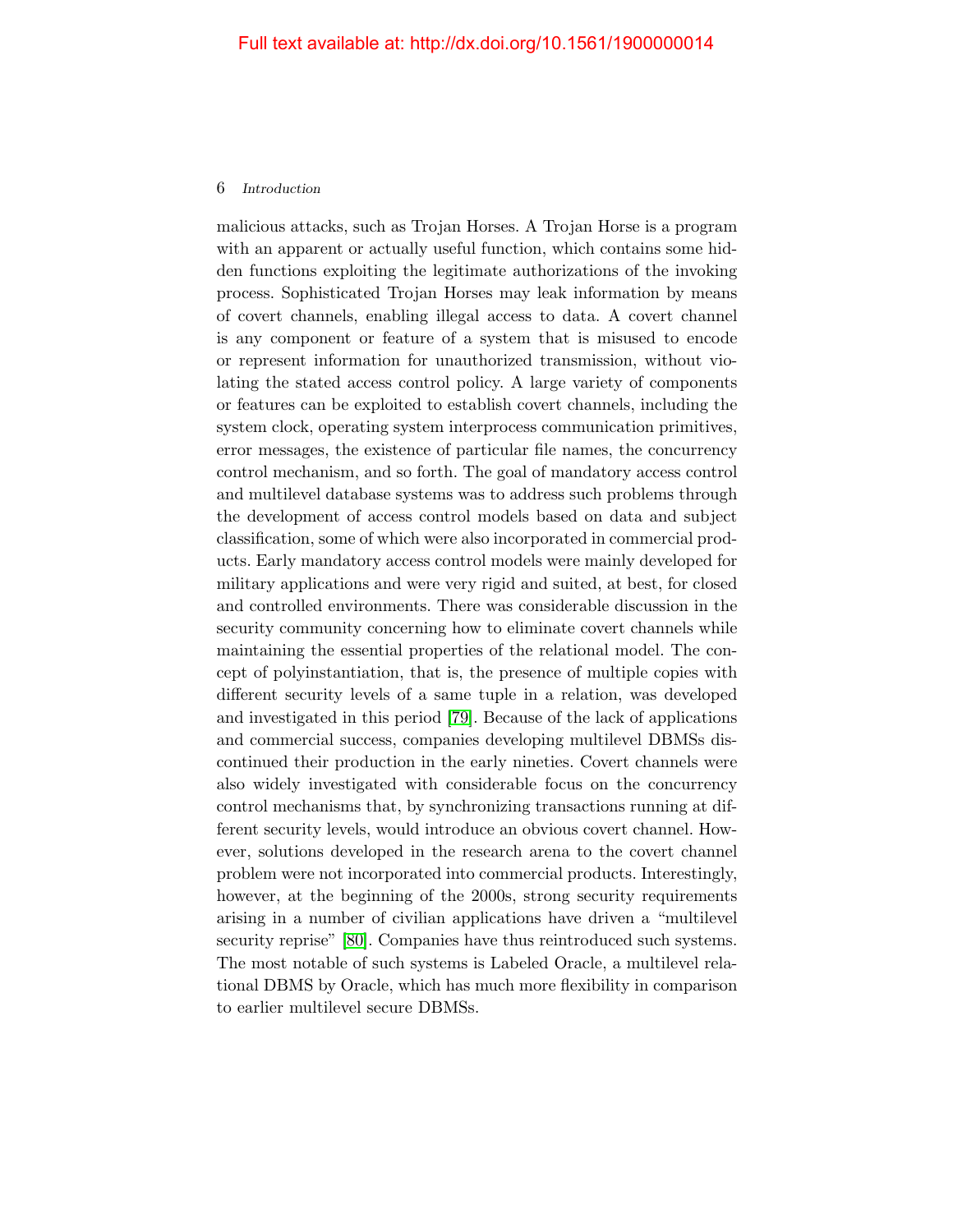#### 6 Introduction

malicious attacks, such as Trojan Horses. A Trojan Horse is a program with an apparent or actually useful function, which contains some hidden functions exploiting the legitimate authorizations of the invoking process. Sophisticated Trojan Horses may leak information by means of covert channels, enabling illegal access to data. A covert channel is any component or feature of a system that is misused to encode or represent information for unauthorized transmission, without violating the stated access control policy. A large variety of components or features can be exploited to establish covert channels, including the system clock, operating system interprocess communication primitives, error messages, the existence of particular file names, the concurrency control mechanism, and so forth. The goal of mandatory access control and multilevel database systems was to address such problems through the development of access control models based on data and subject classification, some of which were also incorporated in commercial products. Early mandatory access control models were mainly developed for military applications and were very rigid and suited, at best, for closed and controlled environments. There was considerable discussion in the security community concerning how to eliminate covert channels while maintaining the essential properties of the relational model. The concept of polyinstantiation, that is, the presence of multiple copies with different security levels of a same tuple in a relation, was developed and investigated in this period [\[79\]](#page-24-3). Because of the lack of applications and commercial success, companies developing multilevel DBMSs discontinued their production in the early nineties. Covert channels were also widely investigated with considerable focus on the concurrency control mechanisms that, by synchronizing transactions running at different security levels, would introduce an obvious covert channel. However, solutions developed in the research arena to the covert channel problem were not incorporated into commercial products. Interestingly, however, at the beginning of the 2000s, strong security requirements arising in a number of civilian applications have driven a "multilevel security reprise" [\[80\]](#page-25-0). Companies have thus reintroduced such systems. The most notable of such systems is Labeled Oracle, a multilevel relational DBMS by Oracle, which has much more flexibility in comparison to earlier multilevel secure DBMSs.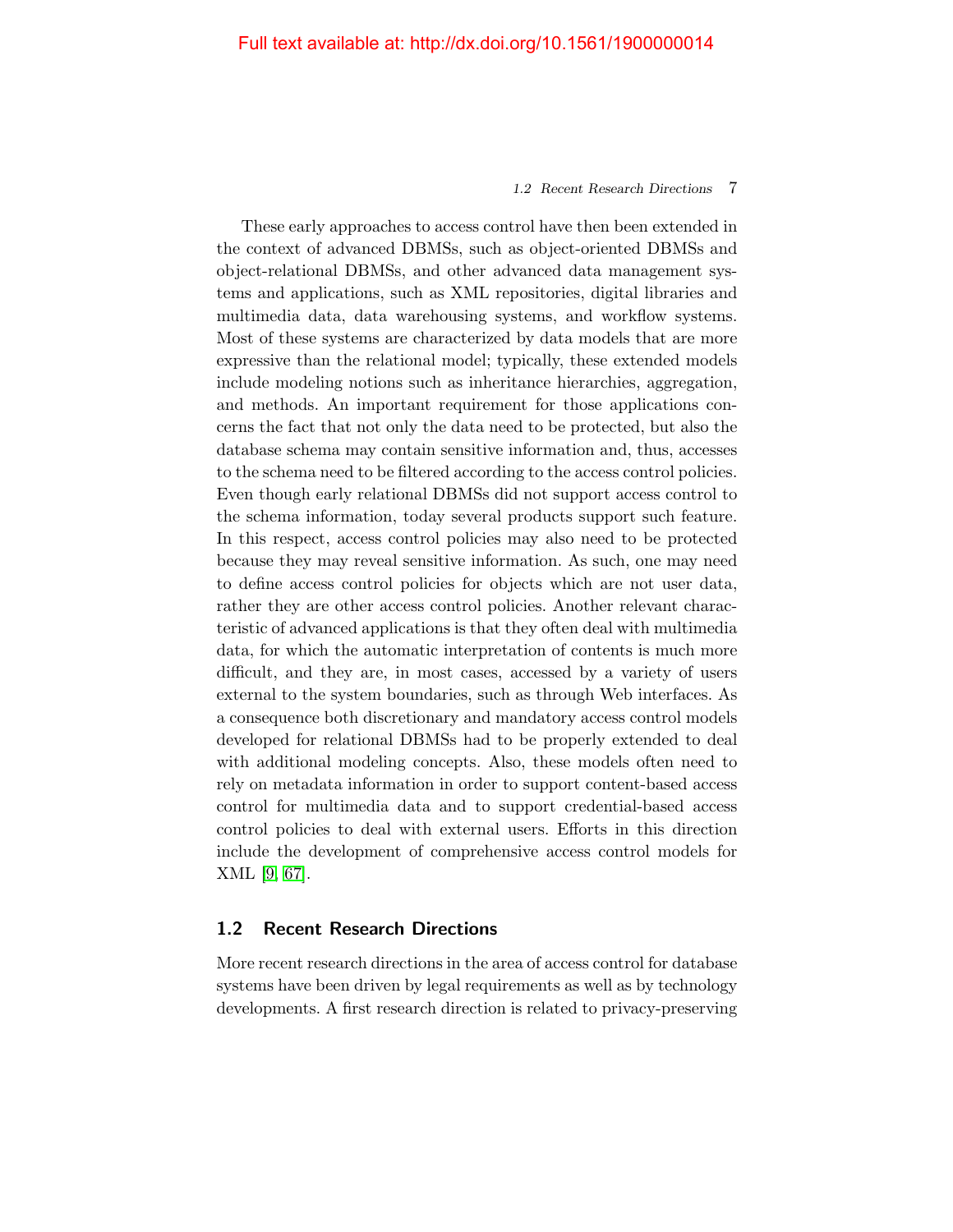#### 1.2 Recent Research Directions 7

These early approaches to access control have then been extended in the context of advanced DBMSs, such as object-oriented DBMSs and object-relational DBMSs, and other advanced data management systems and applications, such as XML repositories, digital libraries and multimedia data, data warehousing systems, and workflow systems. Most of these systems are characterized by data models that are more expressive than the relational model; typically, these extended models include modeling notions such as inheritance hierarchies, aggregation, and methods. An important requirement for those applications concerns the fact that not only the data need to be protected, but also the database schema may contain sensitive information and, thus, accesses to the schema need to be filtered according to the access control policies. Even though early relational DBMSs did not support access control to the schema information, today several products support such feature. In this respect, access control policies may also need to be protected because they may reveal sensitive information. As such, one may need to define access control policies for objects which are not user data, rather they are other access control policies. Another relevant characteristic of advanced applications is that they often deal with multimedia data, for which the automatic interpretation of contents is much more difficult, and they are, in most cases, accessed by a variety of users external to the system boundaries, such as through Web interfaces. As a consequence both discretionary and mandatory access control models developed for relational DBMSs had to be properly extended to deal with additional modeling concepts. Also, these models often need to rely on metadata information in order to support content-based access control for multimedia data and to support credential-based access control policies to deal with external users. Efforts in this direction include the development of comprehensive access control models for XML [\[9,](#page-20-3) [67\]](#page-24-0).

#### <span id="page-16-0"></span>1.2 Recent Research Directions

More recent research directions in the area of access control for database systems have been driven by legal requirements as well as by technology developments. A first research direction is related to privacy-preserving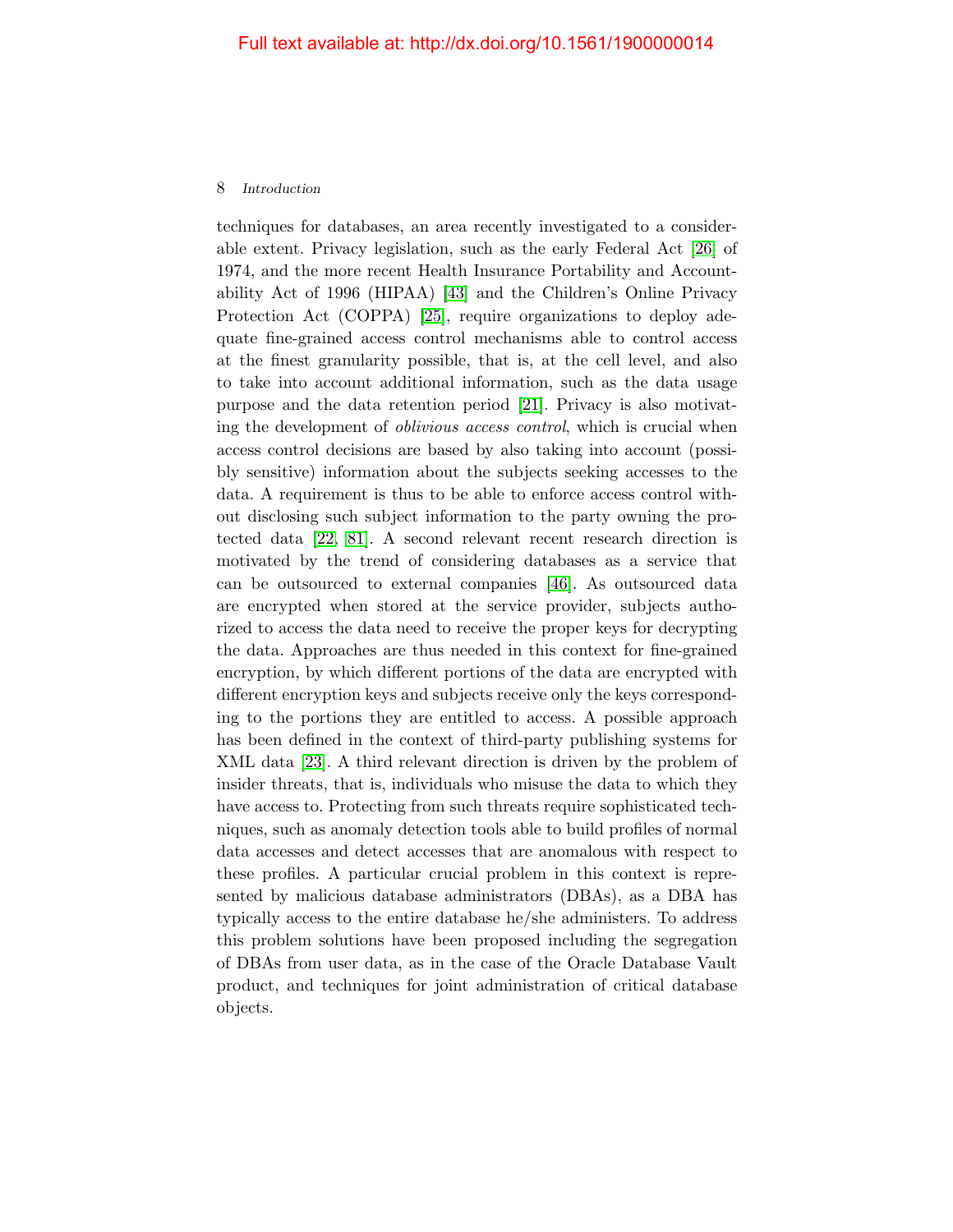#### 8 Introduction

techniques for databases, an area recently investigated to a considerable extent. Privacy legislation, such as the early Federal Act [\[26\]](#page-22-5) of 1974, and the more recent Health Insurance Portability and Accountability Act of 1996 (HIPAA) [\[43\]](#page-22-6) and the Children's Online Privacy Protection Act (COPPA) [\[25\]](#page-21-2), require organizations to deploy adequate fine-grained access control mechanisms able to control access at the finest granularity possible, that is, at the cell level, and also to take into account additional information, such as the data usage purpose and the data retention period [\[21\]](#page-21-3). Privacy is also motivating the development of oblivious access control, which is crucial when access control decisions are based by also taking into account (possibly sensitive) information about the subjects seeking accesses to the data. A requirement is thus to be able to enforce access control without disclosing such subject information to the party owning the protected data [\[22,](#page-21-4) [81\]](#page-25-1). A second relevant recent research direction is motivated by the trend of considering databases as a service that can be outsourced to external companies [\[46\]](#page-23-2). As outsourced data are encrypted when stored at the service provider, subjects authorized to access the data need to receive the proper keys for decrypting the data. Approaches are thus needed in this context for fine-grained encryption, by which different portions of the data are encrypted with different encryption keys and subjects receive only the keys corresponding to the portions they are entitled to access. A possible approach has been defined in the context of third-party publishing systems for XML data [\[23\]](#page-21-5). A third relevant direction is driven by the problem of insider threats, that is, individuals who misuse the data to which they have access to. Protecting from such threats require sophisticated techniques, such as anomaly detection tools able to build profiles of normal data accesses and detect accesses that are anomalous with respect to these profiles. A particular crucial problem in this context is represented by malicious database administrators (DBAs), as a DBA has typically access to the entire database he/she administers. To address this problem solutions have been proposed including the segregation of DBAs from user data, as in the case of the Oracle Database Vault product, and techniques for joint administration of critical database objects.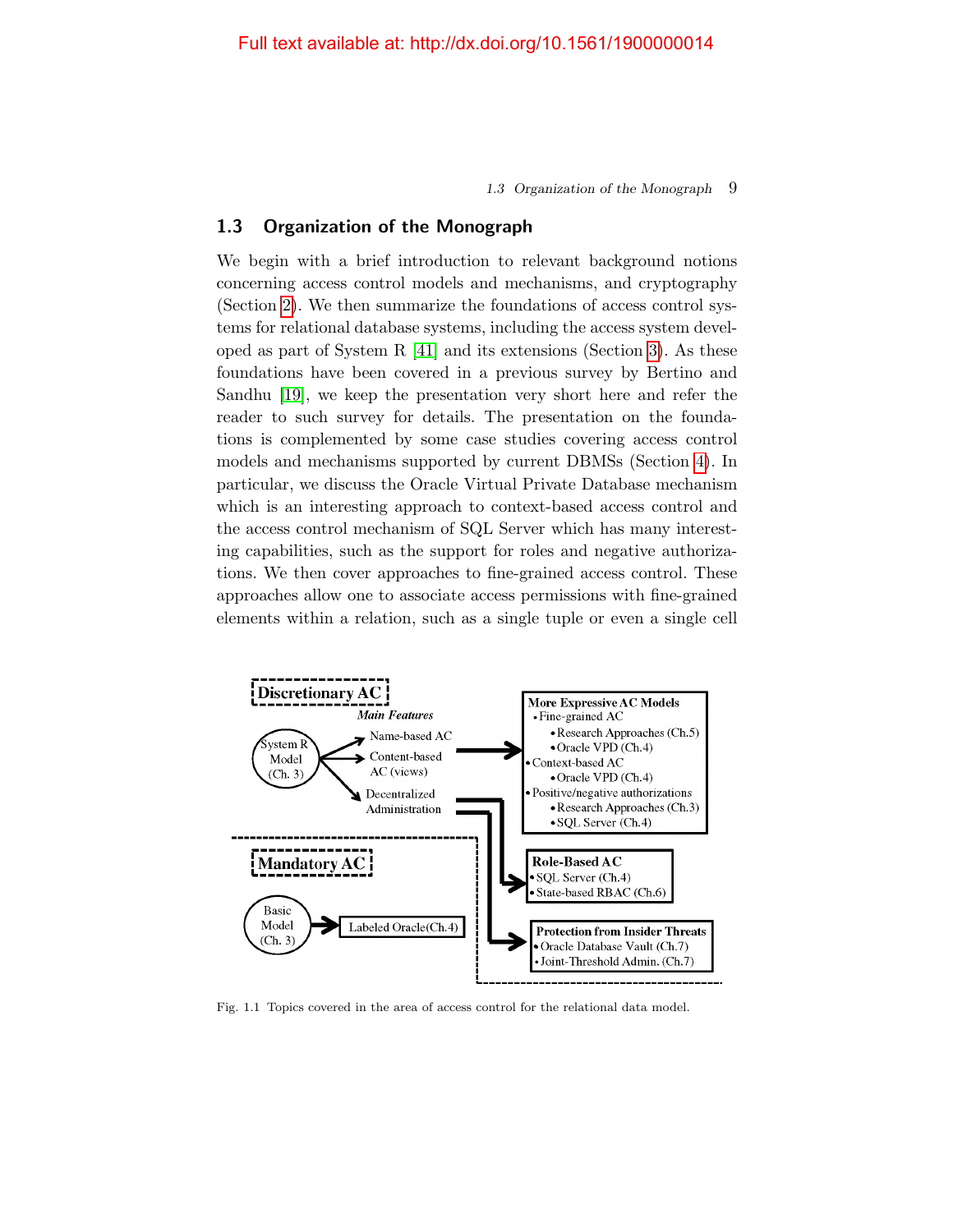1.3 Organization of the Monograph 9

#### <span id="page-18-0"></span>1.3 Organization of the Monograph

We begin with a brief introduction to relevant background notions concerning access control models and mechanisms, and cryptography (Section [2\)](#page--1-0). We then summarize the foundations of access control systems for relational database systems, including the access system developed as part of System R [\[41\]](#page-22-4) and its extensions (Section [3\)](#page--1-0). As these foundations have been covered in a previous survey by Bertino and Sandhu [\[19\]](#page-21-0), we keep the presentation very short here and refer the reader to such survey for details. The presentation on the foundations is complemented by some case studies covering access control models and mechanisms supported by current DBMSs (Section [4\)](#page--1-0). In particular, we discuss the Oracle Virtual Private Database mechanism which is an interesting approach to context-based access control and the access control mechanism of SQL Server which has many interesting capabilities, such as the support for roles and negative authorizations. We then cover approaches to fine-grained access control. These approaches allow one to associate access permissions with fine-grained elements within a relation, such as a single tuple or even a single cell



<span id="page-18-1"></span>Fig. 1.1 Topics covered in the area of access control for the relational data model.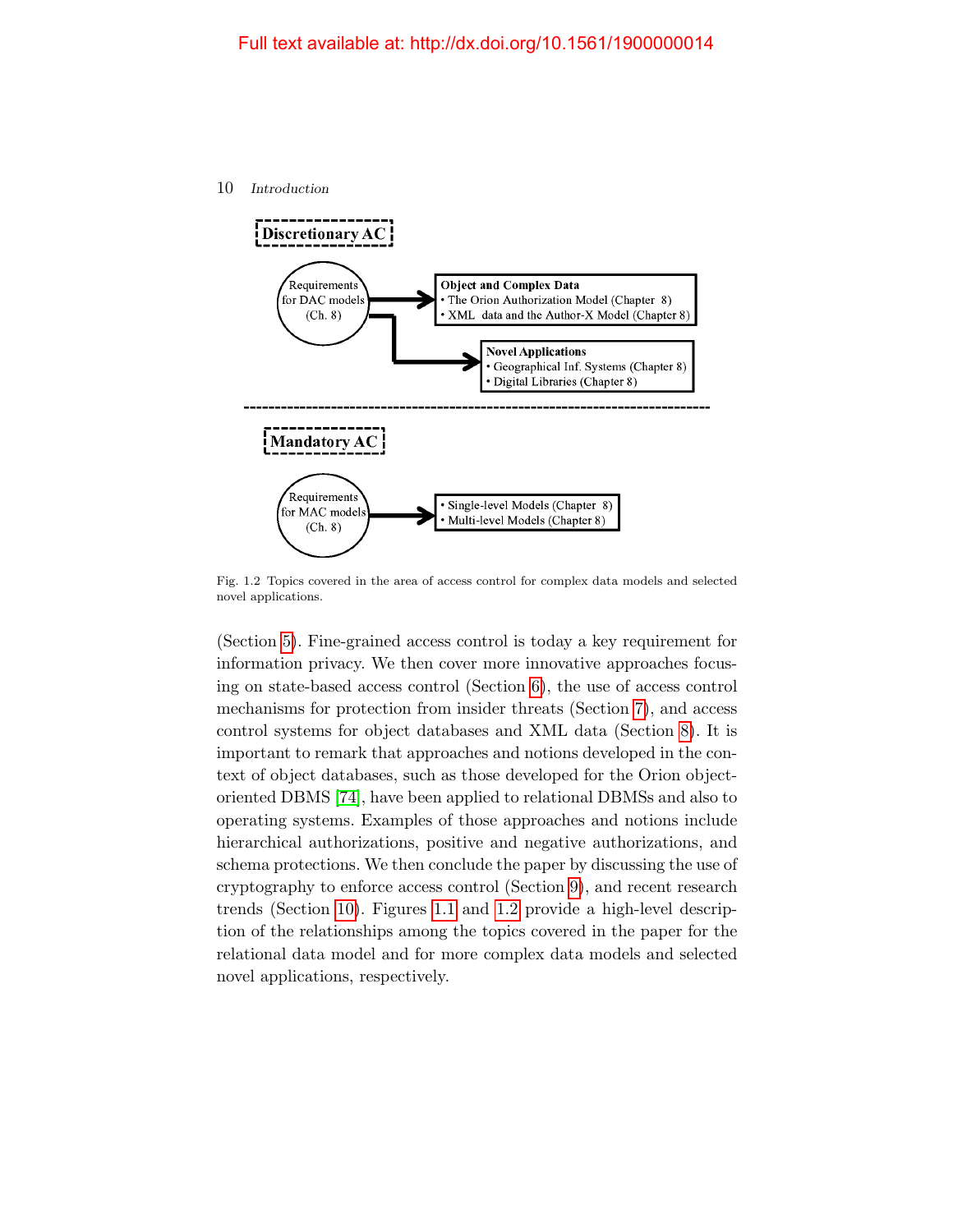



<span id="page-19-0"></span>Fig. 1.2 Topics covered in the area of access control for complex data models and selected novel applications.

(Section [5\)](#page--1-0). Fine-grained access control is today a key requirement for information privacy. We then cover more innovative approaches focusing on state-based access control (Section [6\)](#page--1-0), the use of access control mechanisms for protection from insider threats (Section [7\)](#page--1-0), and access control systems for object databases and XML data (Section [8\)](#page--1-0). It is important to remark that approaches and notions developed in the context of object databases, such as those developed for the Orion objectoriented DBMS [\[74\]](#page-24-4), have been applied to relational DBMSs and also to operating systems. Examples of those approaches and notions include hierarchical authorizations, positive and negative authorizations, and schema protections. We then conclude the paper by discussing the use of cryptography to enforce access control (Section [9\)](#page--1-0), and recent research trends (Section [10\)](#page--1-0). Figures [1.1](#page-18-1) and [1.2](#page-19-0) provide a high-level description of the relationships among the topics covered in the paper for the relational data model and for more complex data models and selected novel applications, respectively.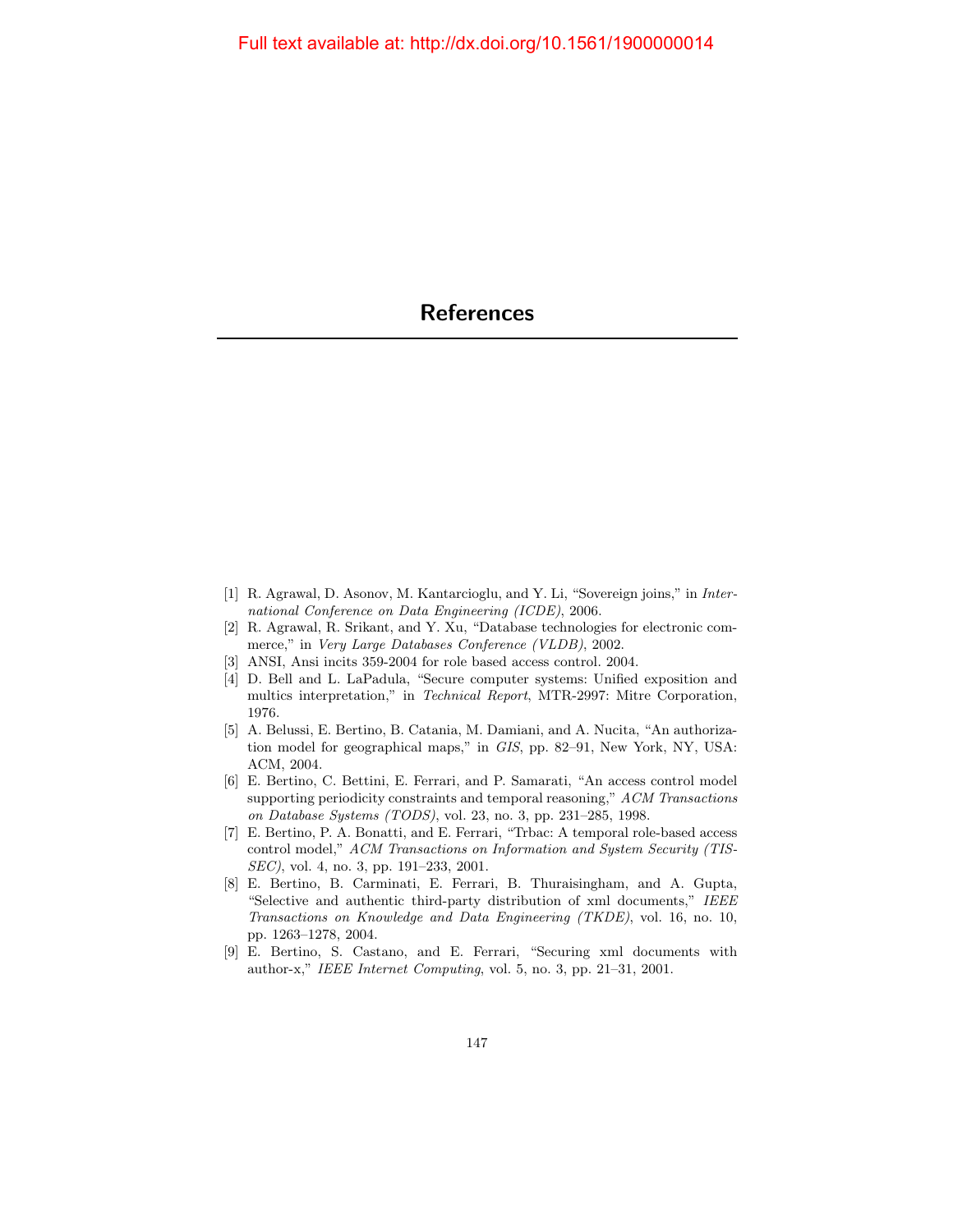- <span id="page-20-0"></span>[1] R. Agrawal, D. Asonov, M. Kantarcioglu, and Y. Li, "Sovereign joins," in International Conference on Data Engineering (ICDE), 2006.
- <span id="page-20-1"></span>[2] R. Agrawal, R. Srikant, and Y. Xu, "Database technologies for electronic commerce," in *Very Large Databases Conference (VLDB)*, 2002.
- [3] ANSI, Ansi incits 359-2004 for role based access control. 2004.
- [4] D. Bell and L. LaPadula, "Secure computer systems: Unified exposition and multics interpretation," in Technical Report, MTR-2997: Mitre Corporation, 1976.
- [5] A. Belussi, E. Bertino, B. Catania, M. Damiani, and A. Nucita, "An authorization model for geographical maps," in GIS, pp. 82–91, New York, NY, USA: ACM, 2004.
- <span id="page-20-2"></span>[6] E. Bertino, C. Bettini, E. Ferrari, and P. Samarati, "An access control model supporting periodicity constraints and temporal reasoning," ACM Transactions on Database Systems (TODS), vol. 23, no. 3, pp. 231–285, 1998.
- [7] E. Bertino, P. A. Bonatti, and E. Ferrari, "Trbac: A temporal role-based access control model," ACM Transactions on Information and System Security (TIS-SEC), vol. 4, no. 3, pp. 191–233, 2001.
- [8] E. Bertino, B. Carminati, E. Ferrari, B. Thuraisingham, and A. Gupta, "Selective and authentic third-party distribution of xml documents," IEEE Transactions on Knowledge and Data Engineering (TKDE), vol. 16, no. 10, pp. 1263–1278, 2004.
- <span id="page-20-3"></span>[9] E. Bertino, S. Castano, and E. Ferrari, "Securing xml documents with author-x," IEEE Internet Computing, vol. 5, no. 3, pp. 21–31, 2001.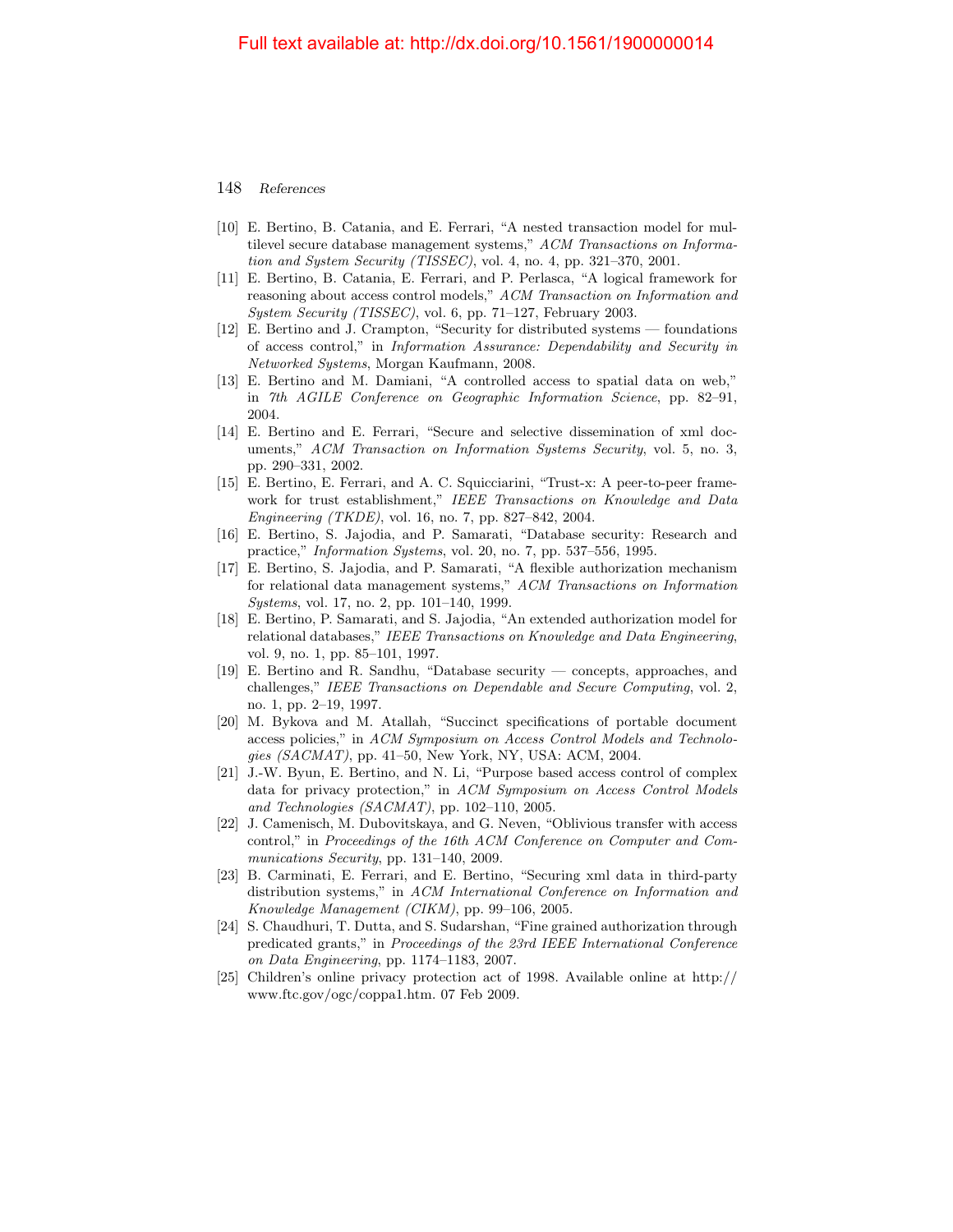- [10] E. Bertino, B. Catania, and E. Ferrari, "A nested transaction model for multilevel secure database management systems," ACM Transactions on Information and System Security (TISSEC), vol. 4, no. 4, pp.  $321-370$ ,  $2001$ .
- [11] E. Bertino, B. Catania, E. Ferrari, and P. Perlasca, "A logical framework for reasoning about access control models," ACM Transaction on Information and System Security (TISSEC), vol. 6, pp. 71–127, February 2003.
- [12] E. Bertino and J. Crampton, "Security for distributed systems foundations of access control," in Information Assurance: Dependability and Security in Networked Systems, Morgan Kaufmann, 2008.
- [13] E. Bertino and M. Damiani, "A controlled access to spatial data on web," in 7th AGILE Conference on Geographic Information Science, pp. 82–91, 2004.
- [14] E. Bertino and E. Ferrari, "Secure and selective dissemination of xml documents," ACM Transaction on Information Systems Security, vol. 5, no. 3, pp. 290–331, 2002.
- [15] E. Bertino, E. Ferrari, and A. C. Squicciarini, "Trust-x: A peer-to-peer framework for trust establishment," IEEE Transactions on Knowledge and Data Engineering (TKDE), vol. 16, no. 7, pp. 827–842, 2004.
- [16] E. Bertino, S. Jajodia, and P. Samarati, "Database security: Research and practice," Information Systems, vol. 20, no. 7, pp. 537–556, 1995.
- [17] E. Bertino, S. Jajodia, and P. Samarati, "A flexible authorization mechanism for relational data management systems," ACM Transactions on Information Systems, vol. 17, no. 2, pp. 101–140, 1999.
- <span id="page-21-1"></span>[18] E. Bertino, P. Samarati, and S. Jajodia, "An extended authorization model for relational databases," IEEE Transactions on Knowledge and Data Engineering, vol. 9, no. 1, pp. 85–101, 1997.
- <span id="page-21-0"></span>[19] E. Bertino and R. Sandhu, "Database security — concepts, approaches, and challenges," IEEE Transactions on Dependable and Secure Computing, vol. 2, no. 1, pp. 2–19, 1997.
- [20] M. Bykova and M. Atallah, "Succinct specifications of portable document access policies," in ACM Symposium on Access Control Models and Technologies (SACMAT), pp. 41–50, New York, NY, USA: ACM, 2004.
- <span id="page-21-3"></span>[21] J.-W. Byun, E. Bertino, and N. Li, "Purpose based access control of complex data for privacy protection," in ACM Symposium on Access Control Models and Technologies (SACMAT), pp. 102–110, 2005.
- <span id="page-21-4"></span>[22] J. Camenisch, M. Dubovitskaya, and G. Neven, "Oblivious transfer with access control," in Proceedings of the 16th ACM Conference on Computer and Communications Security, pp. 131–140, 2009.
- <span id="page-21-5"></span>[23] B. Carminati, E. Ferrari, and E. Bertino, "Securing xml data in third-party distribution systems," in ACM International Conference on Information and Knowledge Management (CIKM), pp. 99–106, 2005.
- [24] S. Chaudhuri, T. Dutta, and S. Sudarshan, "Fine grained authorization through predicated grants," in Proceedings of the 23rd IEEE International Conference on Data Engineering, pp. 1174–1183, 2007.
- <span id="page-21-2"></span>[25] Children's online privacy protection act of 1998. Available online at http:// www.ftc.gov/ogc/coppa1.htm. 07 Feb 2009.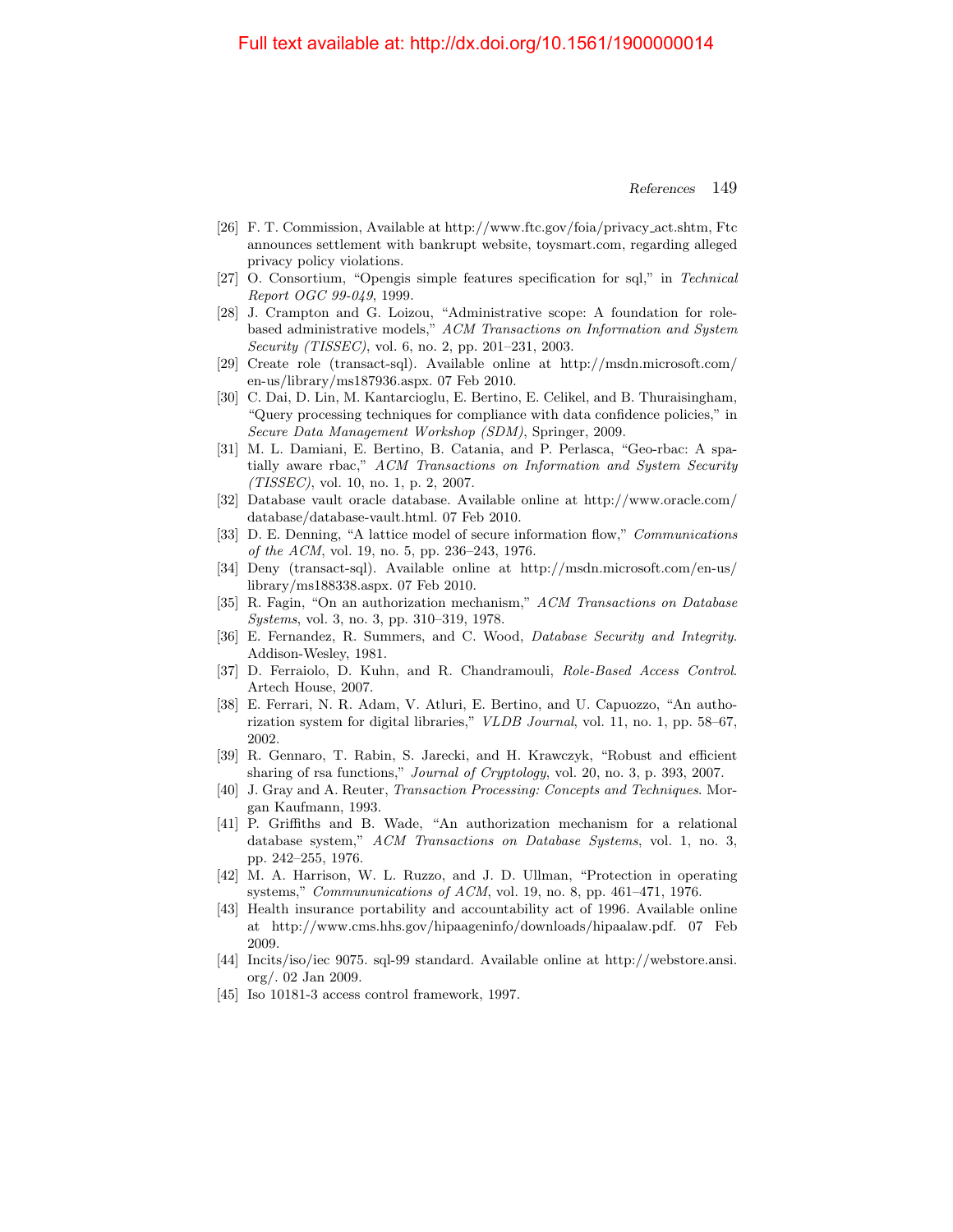#### Full text available at: http://dx.doi.org/10.1561/1900000014

- <span id="page-22-5"></span>[26] F. T. Commission, Available at http://www.ftc.gov/foia/privacy act.shtm, Ftc announces settlement with bankrupt website, toysmart.com, regarding alleged privacy policy violations.
- [27] O. Consortium, "Opengis simple features specification for sql," in Technical Report OGC 99-049, 1999.
- [28] J. Crampton and G. Loizou, "Administrative scope: A foundation for rolebased administrative models," ACM Transactions on Information and System Security (TISSEC), vol. 6, no. 2, pp. 201–231, 2003.
- [29] Create role (transact-sql). Available online at http://msdn.microsoft.com/ en-us/library/ms187936.aspx. 07 Feb 2010.
- <span id="page-22-1"></span>[30] C. Dai, D. Lin, M. Kantarcioglu, E. Bertino, E. Celikel, and B. Thuraisingham, "Query processing techniques for compliance with data confidence policies," in Secure Data Management Workshop (SDM), Springer, 2009.
- [31] M. L. Damiani, E. Bertino, B. Catania, and P. Perlasca, "Geo-rbac: A spatially aware rbac," ACM Transactions on Information and System Security  $(TISSEC)$ , vol. 10, no. 1, p. 2, 2007.
- [32] Database vault oracle database. Available online at http://www.oracle.com/ database/database-vault.html. 07 Feb 2010.
- [33] D. E. Denning, "A lattice model of secure information flow," Communications of the ACM, vol. 19, no. 5, pp. 236–243, 1976.
- [34] Deny (transact-sql). Available online at http://msdn.microsoft.com/en-us/ library/ms188338.aspx. 07 Feb 2010.
- <span id="page-22-3"></span>[35] R. Fagin, "On an authorization mechanism," ACM Transactions on Database Systems, vol. 3, no. 3, pp. 310–319, 1978.
- <span id="page-22-2"></span>[36] E. Fernandez, R. Summers, and C. Wood, Database Security and Integrity. Addison-Wesley, 1981.
- [37] D. Ferraiolo, D. Kuhn, and R. Chandramouli, Role-Based Access Control. Artech House, 2007.
- [38] E. Ferrari, N. R. Adam, V. Atluri, E. Bertino, and U. Capuozzo, "An authorization system for digital libraries," VLDB Journal, vol. 11, no. 1, pp. 58–67, 2002.
- [39] R. Gennaro, T. Rabin, S. Jarecki, and H. Krawczyk, "Robust and efficient sharing of rsa functions," Journal of Cryptology, vol. 20, no. 3, p. 393, 2007.
- <span id="page-22-0"></span>[40] J. Gray and A. Reuter, Transaction Processing: Concepts and Techniques. Morgan Kaufmann, 1993.
- <span id="page-22-4"></span>[41] P. Griffiths and B. Wade, "An authorization mechanism for a relational database system," ACM Transactions on Database Systems, vol. 1, no. 3, pp. 242–255, 1976.
- [42] M. A. Harrison, W. L. Ruzzo, and J. D. Ullman, "Protection in operating systems," *Commununications of ACM*, vol. 19, no. 8, pp. 461–471, 1976.
- <span id="page-22-6"></span>[43] Health insurance portability and accountability act of 1996. Available online at http://www.cms.hhs.gov/hipaageninfo/downloads/hipaalaw.pdf. 07 Feb 2009.
- [44] Incits/iso/iec 9075. sql-99 standard. Available online at http://webstore.ansi. org/. 02 Jan 2009.
- [45] Iso 10181-3 access control framework, 1997.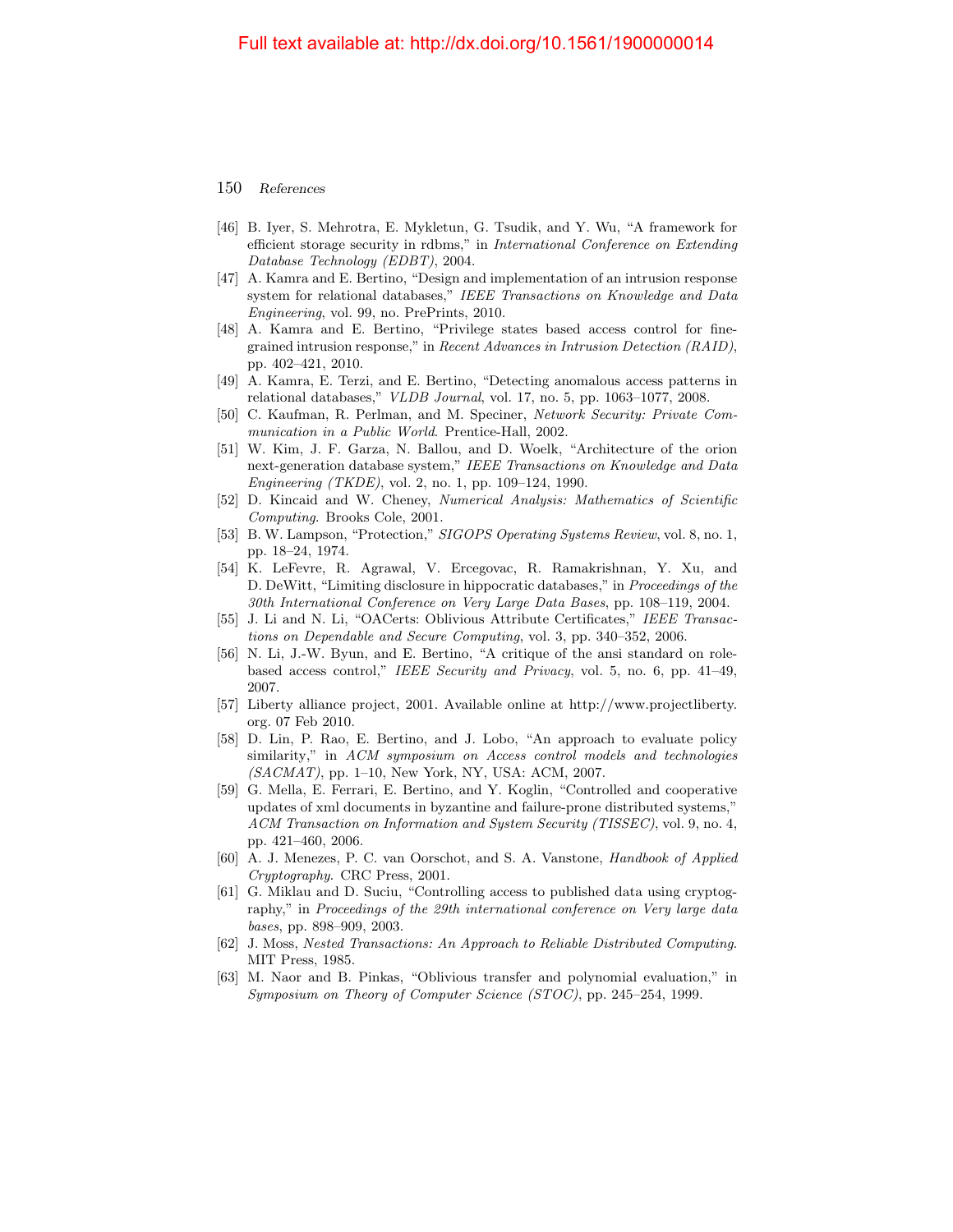- <span id="page-23-2"></span>[46] B. Iyer, S. Mehrotra, E. Mykletun, G. Tsudik, and Y. Wu, "A framework for efficient storage security in rdbms," in International Conference on Extending Database Technology (EDBT), 2004.
- [47] A. Kamra and E. Bertino, "Design and implementation of an intrusion response system for relational databases," IEEE Transactions on Knowledge and Data Engineering, vol. 99, no. PrePrints, 2010.
- [48] A. Kamra and E. Bertino, "Privilege states based access control for finegrained intrusion response," in Recent Advances in Intrusion Detection (RAID), pp. 402–421, 2010.
- <span id="page-23-0"></span>[49] A. Kamra, E. Terzi, and E. Bertino, "Detecting anomalous access patterns in relational databases," VLDB Journal, vol. 17, no. 5, pp. 1063–1077, 2008.
- <span id="page-23-1"></span>[50] C. Kaufman, R. Perlman, and M. Speciner, Network Security: Private Communication in a Public World. Prentice-Hall, 2002.
- [51] W. Kim, J. F. Garza, N. Ballou, and D. Woelk, "Architecture of the orion next-generation database system," IEEE Transactions on Knowledge and Data Engineering (TKDE), vol. 2, no. 1, pp. 109–124, 1990.
- [52] D. Kincaid and W. Cheney, Numerical Analysis: Mathematics of Scientific Computing. Brooks Cole, 2001.
- [53] B. W. Lampson, "Protection," SIGOPS Operating Systems Review, vol. 8, no. 1, pp. 18–24, 1974.
- [54] K. LeFevre, R. Agrawal, V. Ercegovac, R. Ramakrishnan, Y. Xu, and D. DeWitt, "Limiting disclosure in hippocratic databases," in *Proceedings of the* 30th International Conference on Very Large Data Bases, pp. 108–119, 2004.
- [55] J. Li and N. Li, "OACerts: Oblivious Attribute Certificates," IEEE Transactions on Dependable and Secure Computing, vol. 3, pp. 340–352, 2006.
- [56] N. Li, J.-W. Byun, and E. Bertino, "A critique of the ansi standard on rolebased access control," IEEE Security and Privacy, vol. 5, no. 6, pp. 41–49, 2007.
- [57] Liberty alliance project, 2001. Available online at http://www.projectliberty. org. 07 Feb 2010.
- [58] D. Lin, P. Rao, E. Bertino, and J. Lobo, "An approach to evaluate policy similarity," in ACM symposium on Access control models and technologies  $(SACMAT)$ , pp. 1–10, New York, NY, USA: ACM, 2007.
- [59] G. Mella, E. Ferrari, E. Bertino, and Y. Koglin, "Controlled and cooperative updates of xml documents in byzantine and failure-prone distributed systems," ACM Transaction on Information and System Security (TISSEC), vol. 9, no. 4, pp. 421–460, 2006.
- [60] A. J. Menezes, P. C. van Oorschot, and S. A. Vanstone, Handbook of Applied Cryptography. CRC Press, 2001.
- [61] G. Miklau and D. Suciu, "Controlling access to published data using cryptography," in Proceedings of the 29th international conference on Very large data bases, pp. 898–909, 2003.
- [62] J. Moss, Nested Transactions: An Approach to Reliable Distributed Computing. MIT Press, 1985.
- [63] M. Naor and B. Pinkas, "Oblivious transfer and polynomial evaluation," in Symposium on Theory of Computer Science (STOC), pp. 245–254, 1999.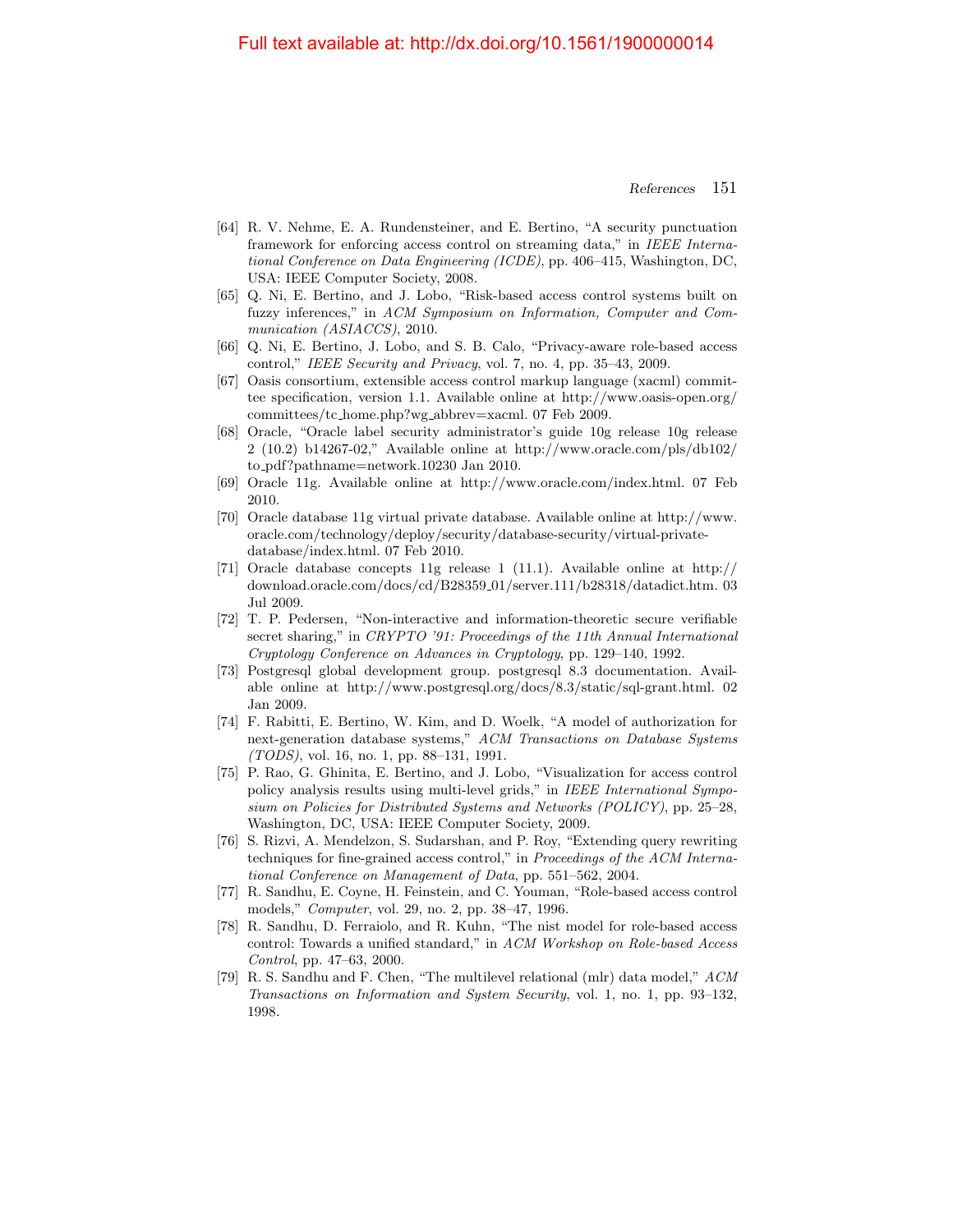#### Full text available at: http://dx.doi.org/10.1561/1900000014

- [64] R. V. Nehme, E. A. Rundensteiner, and E. Bertino, "A security punctuation framework for enforcing access control on streaming data," in IEEE International Conference on Data Engineering (ICDE), pp. 406–415, Washington, DC, USA: IEEE Computer Society, 2008.
- [65] Q. Ni, E. Bertino, and J. Lobo, "Risk-based access control systems built on fuzzy inferences," in ACM Symposium on Information, Computer and Communication (ASIACCS), 2010.
- [66] Q. Ni, E. Bertino, J. Lobo, and S. B. Calo, "Privacy-aware role-based access control," IEEE Security and Privacy, vol. 7, no. 4, pp. 35–43, 2009.
- <span id="page-24-0"></span>[67] Oasis consortium, extensible access control markup language (xacml) committee specification, version 1.1. Available online at http://www.oasis-open.org/ committees/tc home.php?wg abbrev=xacml. 07 Feb 2009.
- [68] Oracle, "Oracle label security administrator's guide 10g release 10g release 2 (10.2) b14267-02," Available online at http://www.oracle.com/pls/db102/ to pdf?pathname=network.10230 Jan 2010.
- [69] Oracle 11g. Available online at http://www.oracle.com/index.html. 07 Feb 2010.
- <span id="page-24-2"></span>[70] Oracle database 11g virtual private database. Available online at http://www. oracle.com/technology/deploy/security/database-security/virtual-privatedatabase/index.html. 07 Feb 2010.
- [71] Oracle database concepts 11g release 1 (11.1). Available online at http:// download.oracle.com/docs/cd/B28359 01/server.111/b28318/datadict.htm. 03 Jul 2009.
- [72] T. P. Pedersen, "Non-interactive and information-theoretic secure verifiable secret sharing," in CRYPTO '91: Proceedings of the 11th Annual International Cryptology Conference on Advances in Cryptology, pp. 129–140, 1992.
- [73] Postgresql global development group. postgresql 8.3 documentation. Available online at http://www.postgresql.org/docs/8.3/static/sql-grant.html. 02 Jan 2009.
- <span id="page-24-4"></span>[74] F. Rabitti, E. Bertino, W. Kim, and D. Woelk, "A model of authorization for next-generation database systems," ACM Transactions on Database Systems  $(TODS)$ , vol. 16, no. 1, pp. 88–131, 1991.
- [75] P. Rao, G. Ghinita, E. Bertino, and J. Lobo, "Visualization for access control policy analysis results using multi-level grids," in IEEE International Symposium on Policies for Distributed Systems and Networks (POLICY), pp. 25–28, Washington, DC, USA: IEEE Computer Society, 2009.
- [76] S. Rizvi, A. Mendelzon, S. Sudarshan, and P. Roy, "Extending query rewriting techniques for fine-grained access control," in Proceedings of the ACM International Conference on Management of Data, pp. 551–562, 2004.
- <span id="page-24-1"></span>[77] R. Sandhu, E. Coyne, H. Feinstein, and C. Youman, "Role-based access control models," Computer, vol. 29, no. 2, pp. 38–47, 1996.
- [78] R. Sandhu, D. Ferraiolo, and R. Kuhn, "The nist model for role-based access control: Towards a unified standard," in ACM Workshop on Role-based Access Control, pp. 47–63, 2000.
- <span id="page-24-3"></span>[79] R. S. Sandhu and F. Chen, "The multilevel relational (mlr) data model," ACM Transactions on Information and System Security, vol. 1, no. 1, pp. 93–132, 1998.